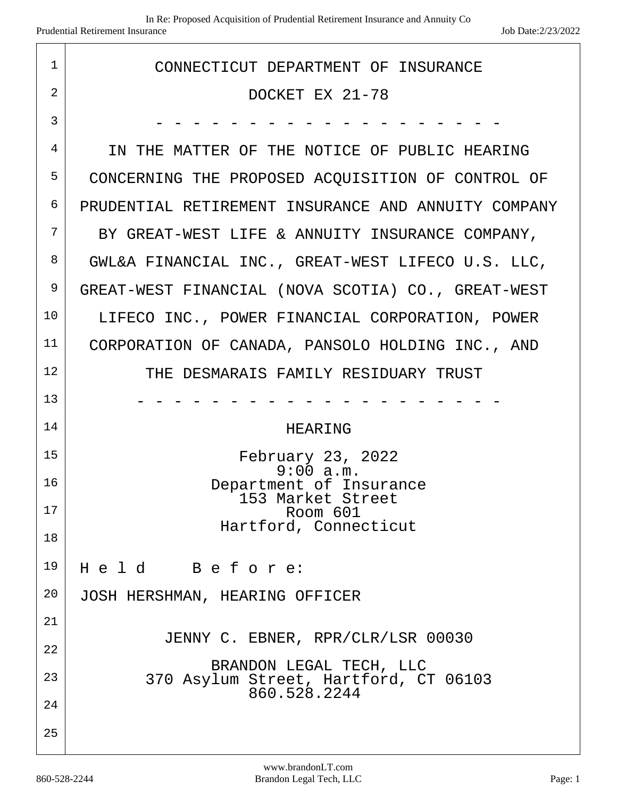| $\mathbf{1}$   | CONNECTICUT DEPARTMENT OF INSURANCE                              |
|----------------|------------------------------------------------------------------|
| $\overline{2}$ |                                                                  |
|                | DOCKET EX 21-78                                                  |
| 3              |                                                                  |
| 4              | IN THE MATTER OF THE NOTICE OF PUBLIC HEARING                    |
| 5              | CONCERNING THE PROPOSED ACQUISITION OF CONTROL OF                |
| 6              | PRUDENTIAL RETIREMENT INSURANCE AND ANNUITY COMPANY              |
| 7              | BY GREAT-WEST LIFE & ANNUITY INSURANCE COMPANY,                  |
| 8              | GWL&A FINANCIAL INC., GREAT-WEST LIFECO U.S. LLC,                |
| 9              | GREAT-WEST FINANCIAL (NOVA SCOTIA) CO., GREAT-WEST               |
| 10             | LIFECO INC., POWER FINANCIAL CORPORATION, POWER                  |
| 11             | CORPORATION OF CANADA, PANSOLO HOLDING INC., AND                 |
| 12             | THE DESMARAIS FAMILY RESIDUARY TRUST                             |
| 13             |                                                                  |
| 14             | HEARING                                                          |
| 15             | February 23, 2022                                                |
| 16             | 9:00a.m.<br>Department of Insurance                              |
| 17             | 153 Market Street<br>Room 601                                    |
|                | Hartford, Connecticut                                            |
| 18             |                                                                  |
| 19             | Held Before:                                                     |
| 20             | JOSH HERSHMAN, HEARING OFFICER                                   |
| 21             |                                                                  |
| 22             | JENNY C. EBNER, RPR/CLR/LSR 00030                                |
| 23             | BRANDON LEGAL TECH, LLC<br>370 Asylum Street, Hartford, CT 06103 |
| 24             | 860.528.2244                                                     |
| 25             |                                                                  |
|                |                                                                  |

 $\sqrt{ }$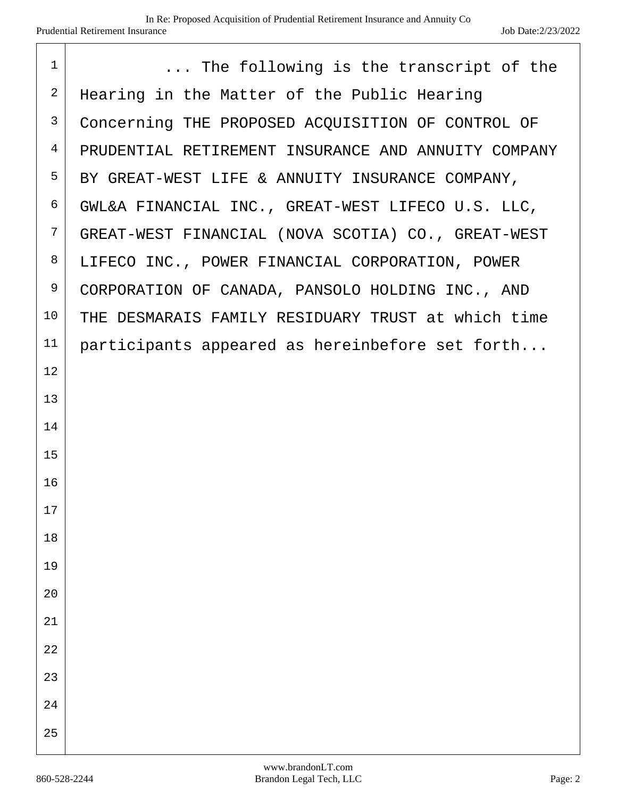| $\mathbf{1}$   | The following is the transcript of the              |
|----------------|-----------------------------------------------------|
| $\overline{2}$ | Hearing in the Matter of the Public Hearing         |
| 3              | Concerning THE PROPOSED ACQUISITION OF CONTROL OF   |
| $\overline{4}$ | PRUDENTIAL RETIREMENT INSURANCE AND ANNUITY COMPANY |
| 5              | BY GREAT-WEST LIFE & ANNUITY INSURANCE COMPANY,     |
| 6              | GWL&A FINANCIAL INC., GREAT-WEST LIFECO U.S. LLC,   |
| 7              | GREAT-WEST FINANCIAL (NOVA SCOTIA) CO., GREAT-WEST  |
| 8              | LIFECO INC., POWER FINANCIAL CORPORATION, POWER     |
| 9              | CORPORATION OF CANADA, PANSOLO HOLDING INC., AND    |
| 10             | THE DESMARAIS FAMILY RESIDUARY TRUST at which time  |
| 11             | participants appeared as hereinbefore set forth     |
| 12             |                                                     |
| 13             |                                                     |
| 14             |                                                     |
| 15             |                                                     |
| 16             |                                                     |
| 17             |                                                     |
| 18             |                                                     |
| 19             |                                                     |
| 20             |                                                     |
| 21             |                                                     |
| 22             |                                                     |
| 23             |                                                     |
| 24             |                                                     |
| 25             |                                                     |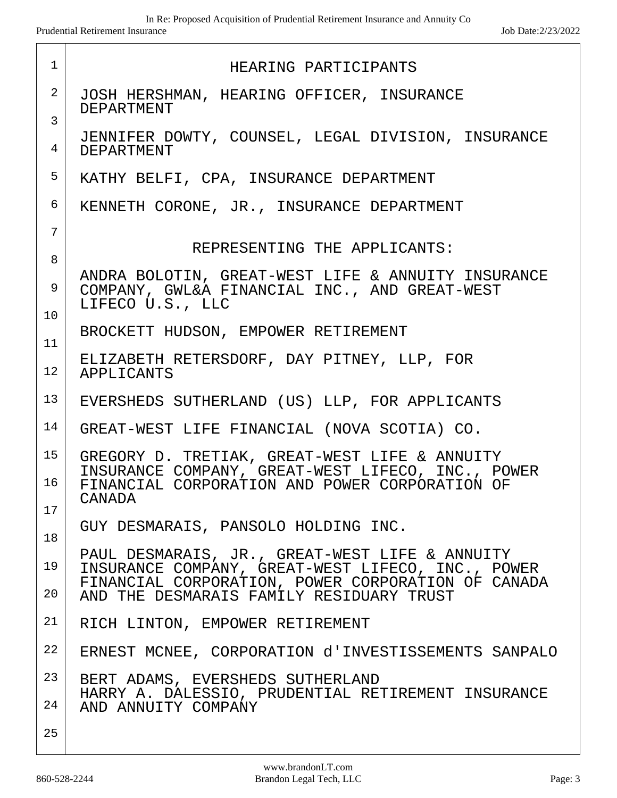| $\mathbf{1}$        | HEARING PARTICIPANTS                                                                                                    |
|---------------------|-------------------------------------------------------------------------------------------------------------------------|
| $\overline{2}$      | JOSH HERSHMAN, HEARING OFFICER, INSURANCE<br><b>DEPARTMENT</b>                                                          |
| $\overline{3}$<br>4 | JENNIFER DOWTY, COUNSEL, LEGAL DIVISION, INSURANCE<br><b>DEPARTMENT</b>                                                 |
| 5                   | KATHY BELFI, CPA, INSURANCE DEPARTMENT                                                                                  |
| 6                   | KENNETH CORONE, JR., INSURANCE DEPARTMENT                                                                               |
| 7                   |                                                                                                                         |
| 8                   | REPRESENTING THE APPLICANTS:                                                                                            |
| 9                   | ANDRA BOLOTIN, GREAT-WEST LIFE & ANNUITY INSURANCE<br>COMPANY, GWL&A FINANCIAL INC., AND GREAT-WEST<br>LIFECO U.S., LLC |
| 10                  | BROCKETT HUDSON, EMPOWER RETIREMENT                                                                                     |
| 11                  | ELIZABETH RETERSDORF, DAY PITNEY, LLP, FOR                                                                              |
| 12                  | APPLICANTS                                                                                                              |
| 13                  | EVERSHEDS SUTHERLAND (US) LLP, FOR APPLICANTS                                                                           |
| 14                  | GREAT-WEST LIFE FINANCIAL (NOVA SCOTIA) CO.                                                                             |
| 15                  | GREGORY D. TRETIAK, GREAT-WEST LIFE & ANNUITY                                                                           |
| 16                  | INSURANCE COMPANY, GREAT-WEST LIFECO, INC., POWER<br>FINANCIAL CORPORATION AND POWER CORPORATION OF<br>CANADA           |
| 17                  | GUY DESMARAIS, PANSOLO HOLDING INC.                                                                                     |
| 18                  |                                                                                                                         |
| 19                  | PAUL DESMARAIS, JR., GREAT-WEST LIFE & ANNUITY<br>INSURANCE COMPANY, GREAT-WEST LIFECO, INC., POWER                     |
| 20                  | FINANCIAL CORPORATION, POWER CORPORATION OF CANADA<br>AND THE DESMARAIS FAMILY RESIDUARY TRUST                          |
| 21                  | RICH LINTON, EMPOWER RETIREMENT                                                                                         |
| 22                  | ERNEST MCNEE, CORPORATION d'INVESTISSEMENTS SANPALO                                                                     |
| 23                  | BERT ADAMS, EVERSHEDS SUTHERLAND                                                                                        |
| 24                  | HARRY A. DALESSIO, PRUDENTIAL RETIREMENT INSURANCE<br>AND ANNUITY COMPANY                                               |
| 25                  |                                                                                                                         |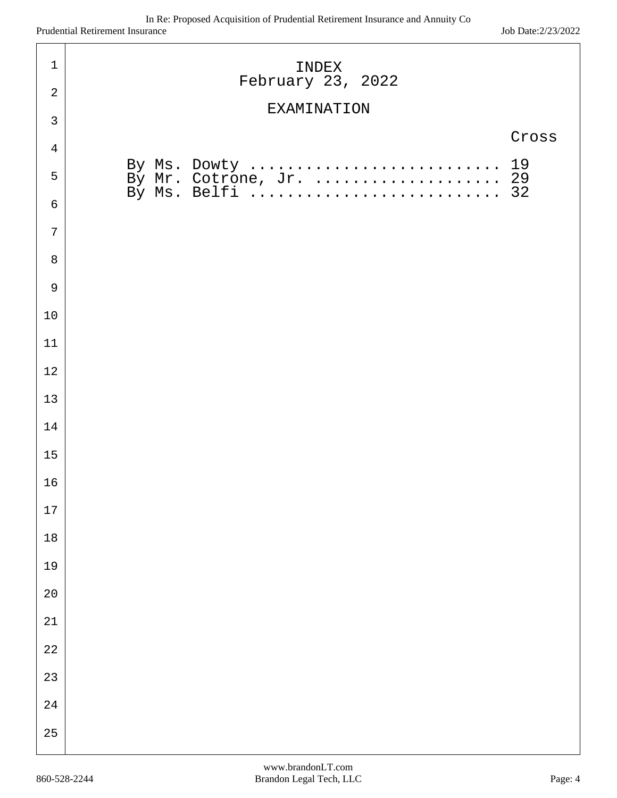| $1\,$          | INDEX<br>February 23, 2022                                      |
|----------------|-----------------------------------------------------------------|
| $\overline{2}$ |                                                                 |
| $\mathfrak{Z}$ | <b>EXAMINATION</b>                                              |
| $\overline{4}$ | Cross                                                           |
| 5              | By Ms. Dowty  19<br>By Mr. Cotrone, Jr.  29<br>By Ms. Belfi  32 |
| $\epsilon$     |                                                                 |
| $\overline{7}$ |                                                                 |
| 8              |                                                                 |
| $\overline{9}$ |                                                                 |
| 10             |                                                                 |
| 11             |                                                                 |
| 12             |                                                                 |
| 13             |                                                                 |
| 14             |                                                                 |
| 15             |                                                                 |
| 16             |                                                                 |
| $17\,$         |                                                                 |
| $18\,$         |                                                                 |
| 19             |                                                                 |
| $2\,0$         |                                                                 |
| $2\sqrt{1}$    |                                                                 |
| $2\sqrt{2}$    |                                                                 |
| 23             |                                                                 |
| $2\sqrt{4}$    |                                                                 |
| 25             |                                                                 |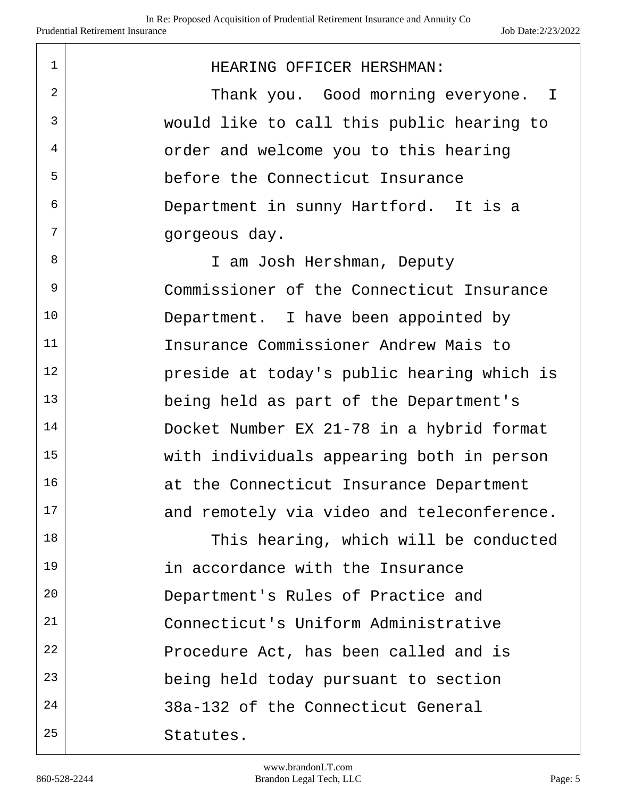| $\mathbf 1$ | HEARING OFFICER HERSHMAN:                  |
|-------------|--------------------------------------------|
| 2           | Thank you. Good morning everyone. I        |
| 3           | would like to call this public hearing to  |
| 4           | order and welcome you to this hearing      |
| 5           | before the Connecticut Insurance           |
| 6           | Department in sunny Hartford. It is a      |
| 7           | gorgeous day.                              |
| 8           | I am Josh Hershman, Deputy                 |
| 9           | Commissioner of the Connecticut Insurance  |
| 10          | Department. I have been appointed by       |
| 11          | Insurance Commissioner Andrew Mais to      |
| 12          | preside at today's public hearing which is |
| 13          | being held as part of the Department's     |
| 14          | Docket Number EX 21-78 in a hybrid format  |
| 15          | with individuals appearing both in person  |
| 16          | at the Connecticut Insurance Department    |
| 17          | and remotely via video and teleconference. |
| 18          | This hearing, which will be conducted      |
| 19          | in accordance with the Insurance           |
| 20          | Department's Rules of Practice and         |
| 21          | Connecticut's Uniform Administrative       |
| 22          | Procedure Act, has been called and is      |
| 23          | being held today pursuant to section       |
| 24          | 38a-132 of the Connecticut General         |
| 25          | Statutes.                                  |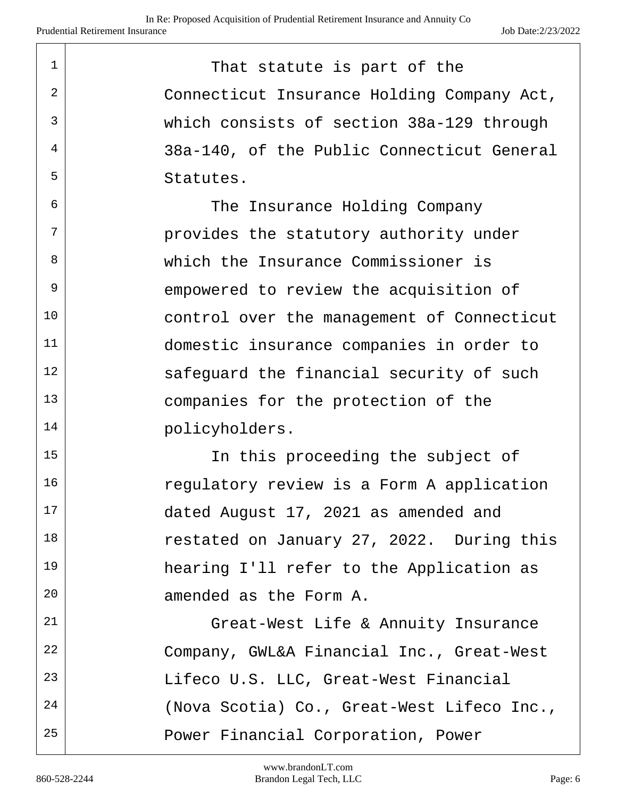| $\mathbf{1}$ | That statute is part of the                |
|--------------|--------------------------------------------|
| 2            | Connecticut Insurance Holding Company Act, |
| $\mathbf{3}$ | which consists of section 38a-129 through  |
| 4            | 38a-140, of the Public Connecticut General |
| 5            | Statutes.                                  |
| 6            | The Insurance Holding Company              |
| 7            | provides the statutory authority under     |
| 8            | which the Insurance Commissioner is        |
| 9            | empowered to review the acquisition of     |
| 10           | control over the management of Connecticut |
| 11           | domestic insurance companies in order to   |
| 12           | safequard the financial security of such   |
| 13           | companies for the protection of the        |
| 14           | policyholders.                             |
| $\sim$       | $\sim$ $\sim$ $\sim$ $\sim$ $\sim$ $\sim$  |

15 | The this proceeding the subject of 16 regulatory review is a Form A application 17 dated August 17, 2021 as amended and 18 Testated on January 27, 2022. During this 19 hearing I'll refer to the Application as 20 amended as the Form A.

21 | Great-West Life & Annuity Insurance 22 Company, GWL&A Financial Inc., Great-West 23 | Lifeco U.S. LLC, Great-West Financial 24 (Nova Scotia) Co., Great-West Lifeco Inc., 25 | Power Financial Corporation, Power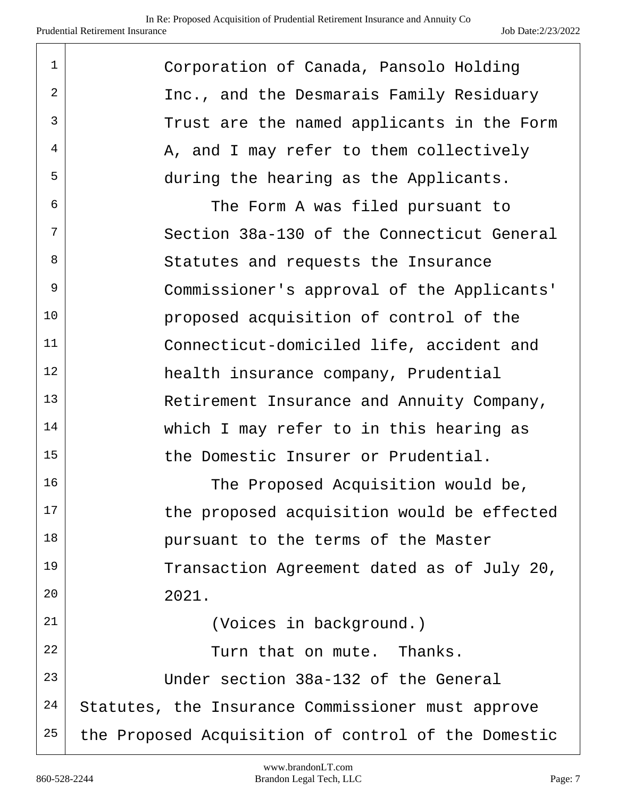| $\mathbf 1$ | Corporation of Canada, Pansolo Holding              |
|-------------|-----------------------------------------------------|
| 2           | Inc., and the Desmarais Family Residuary            |
| 3           | Trust are the named applicants in the Form          |
| 4           | A, and I may refer to them collectively             |
| 5           | during the hearing as the Applicants.               |
| 6           | The Form A was filed pursuant to                    |
| 7           | Section 38a-130 of the Connecticut General          |
| 8           | Statutes and requests the Insurance                 |
| 9           | Commissioner's approval of the Applicants'          |
| 10          | proposed acquisition of control of the              |
| 11          | Connecticut-domiciled life, accident and            |
| 12          | health insurance company, Prudential                |
| 13          | Retirement Insurance and Annuity Company,           |
| 14          | which I may refer to in this hearing as             |
| 15          | the Domestic Insurer or Prudential.                 |
| 16          | The Proposed Acquisition would be,                  |
| 17          | the proposed acquisition would be effected          |
| 18          | pursuant to the terms of the Master                 |
| 19          | Transaction Agreement dated as of July 20,          |
| 20          | 2021.                                               |
| 21          | (Voices in background.)                             |
| 22          | Turn that on mute. Thanks.                          |
| 23          | Under section 38a-132 of the General                |
| 24          | Statutes, the Insurance Commissioner must approve   |
| 25          | the Proposed Acquisition of control of the Domestic |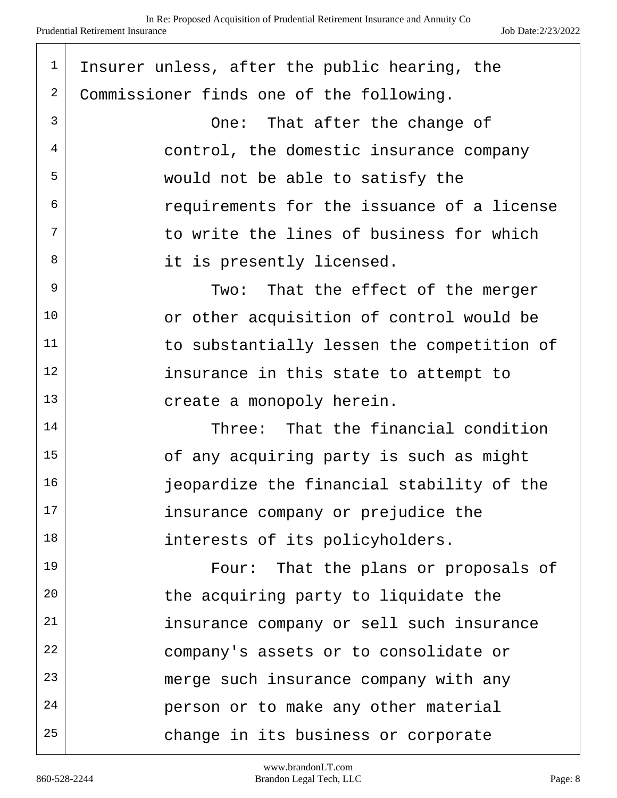| $\mathbf 1$ | Insurer unless, after the public hearing, the |
|-------------|-----------------------------------------------|
| 2           | Commissioner finds one of the following.      |
| 3           | One: That after the change of                 |
| 4           | control, the domestic insurance company       |
| 5           | would not be able to satisfy the              |
| 6           | requirements for the issuance of a license    |
| 7           | to write the lines of business for which      |
| 8           | it is presently licensed.                     |
| 9           | Two: That the effect of the merger            |
| 10          | or other acquisition of control would be      |
| 11          | to substantially lessen the competition of    |
| 12          | insurance in this state to attempt to         |
| 13          | create a monopoly herein.                     |
| 14          | Three: That the financial condition           |
| 15          | of any acquiring party is such as might       |
| 16          | jeopardize the financial stability of the     |
| 17          | insurance company or prejudice the            |
| 18          | interests of its policyholders.               |
| 19          | Four: That the plans or proposals of          |
| 20          | the acquiring party to liquidate the          |
| 21          | insurance company or sell such insurance      |
| 22          | company's assets or to consolidate or         |
| 23          | merge such insurance company with any         |
| 24          | person or to make any other material          |
| 25          | change in its business or corporate           |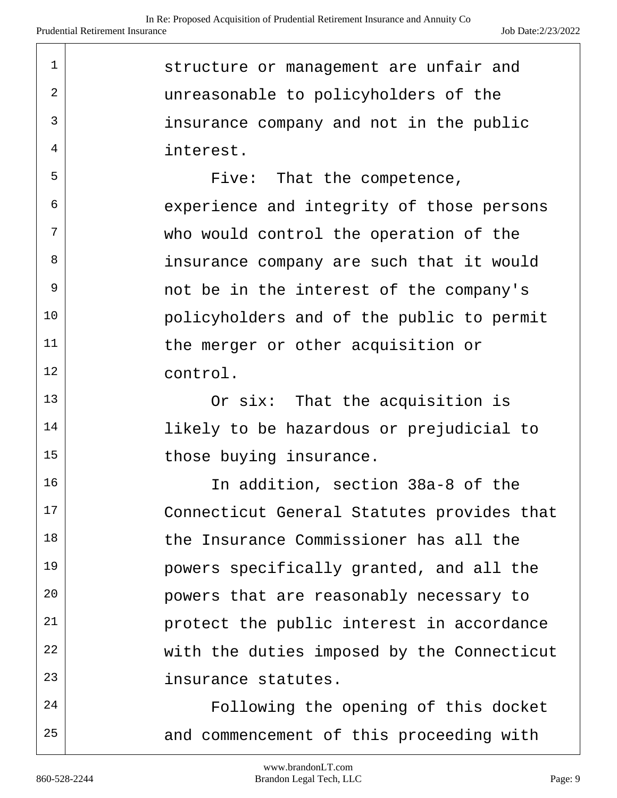1 structure or management are unfair and <sup>2</sup> unreasonable to policyholders of the  $3$  insurance company and not in the public 4 interest.

 $5$  Five: That the competence,  $6$  experience and integrity of those persons  $7$  who would control the operation of the 8 insurance company are such that it would  $9$  not be in the interest of the company's 10 policyholders and of the public to permit 11 the merger or other acquisition or 12 control.

13 Or six: That the acquisition is 14 | likely to be hazardous or prejudicial to 15 those buying insurance.

16 | The addition, section 38a-8 of the 17 Connecticut General Statutes provides that 18 the Insurance Commissioner has all the 19 powers specifically granted, and all the 20 **powers** that are reasonably necessary to 21 protect the public interest in accordance 22 with the duties imposed by the Connecticut 23 insurance statutes.

24 | Following the opening of this docket  $25$  and commencement of this proceeding with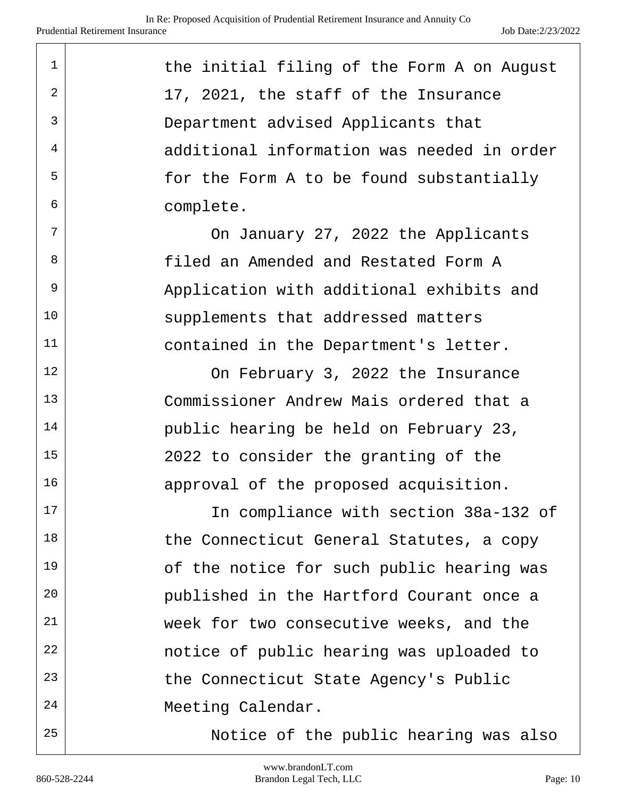| 1              | the initial filing of the Form A on August |
|----------------|--------------------------------------------|
| $\overline{2}$ | 17, 2021, the staff of the Insurance       |
| 3              | Department advised Applicants that         |
| 4              | additional information was needed in order |
| 5              | for the Form A to be found substantially   |
| 6              | complete.                                  |
| 7              | On January 27, 2022 the Applicants         |
| 8              | filed an Amended and Restated Form A       |
| 9              | Application with additional exhibits and   |
| 10             | supplements that addressed matters         |
| 11             | contained in the Department's letter.      |
| 12             | On February 3, 2022 the Insurance          |
| 13             | Commissioner Andrew Mais ordered that a    |
| 14             | public hearing be held on February 23,     |
| 15             | 2022 to consider the granting of the       |
| 16             | approval of the proposed acquisition.      |
| 17             | In compliance with section 38a-132 of      |
| 18             | the Connecticut General Statutes, a copy   |
| 19             | of the notice for such public hearing was  |
| 20             | published in the Hartford Courant once a   |
| 21             | week for two consecutive weeks, and the    |
| 22             | notice of public hearing was uploaded to   |
| 23             | the Connecticut State Agency's Public      |
| 24             | Meeting Calendar.                          |
| 25             | Notice of the public hearing was also      |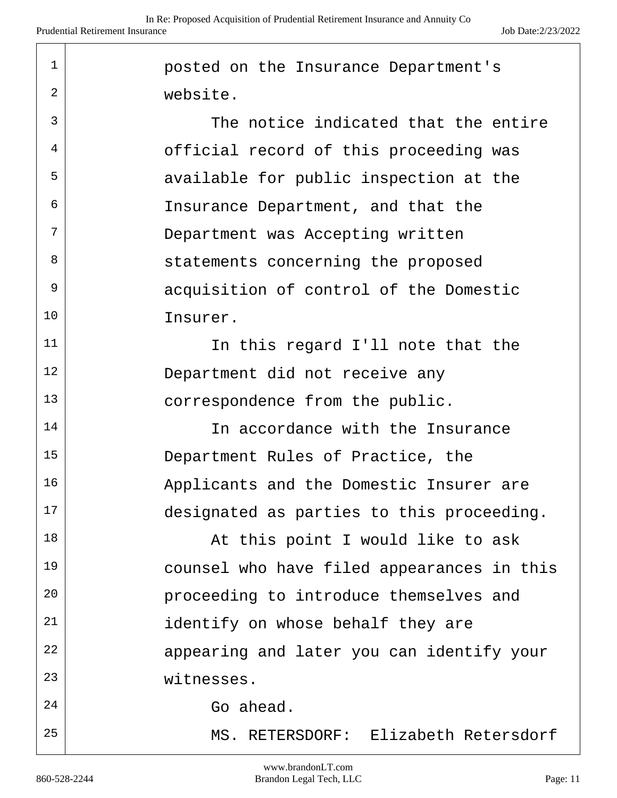| $\mathbf{1}$ | posted on the Insurance Department's       |
|--------------|--------------------------------------------|
| 2            | website.                                   |
| 3            | The notice indicated that the entire       |
| 4            | official record of this proceeding was     |
| 5            | available for public inspection at the     |
| 6            | Insurance Department, and that the         |
| 7            | Department was Accepting written           |
| 8            | statements concerning the proposed         |
| 9            | acquisition of control of the Domestic     |
| 10           | Insurer.                                   |
| 11           | In this regard I'll note that the          |
| 12           | Department did not receive any             |
| 13           | correspondence from the public.            |
| 14           | In accordance with the Insurance           |
| 15           | Department Rules of Practice, the          |
| 16           | Applicants and the Domestic Insurer are    |
| 17           | designated as parties to this proceeding.  |
| 18           | At this point I would like to ask          |
| 19           | counsel who have filed appearances in this |
| 20           | proceeding to introduce themselves and     |
| 21           | identify on whose behalf they are          |
| 22           | appearing and later you can identify your  |
| 23           | witnesses.                                 |
| 24           | Go ahead.                                  |
| 25           | MS. RETERSDORF: Elizabeth Retersdorf       |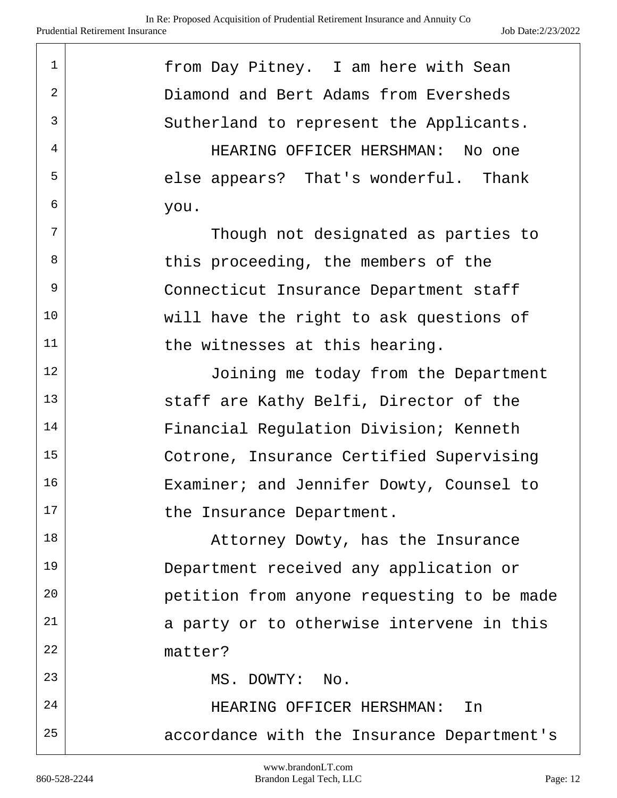| $\mathbf 1$ | from Day Pitney. I am here with Sean       |
|-------------|--------------------------------------------|
| 2           | Diamond and Bert Adams from Eversheds      |
| 3           | Sutherland to represent the Applicants.    |
| 4           | HEARING OFFICER HERSHMAN: No one           |
| 5           | else appears? That's wonderful. Thank      |
| 6           | you.                                       |
| 7           | Though not designated as parties to        |
| 8           | this proceeding, the members of the        |
| 9           | Connecticut Insurance Department staff     |
| 10          | will have the right to ask questions of    |
| 11          | the witnesses at this hearing.             |
| 12          | Joining me today from the Department       |
| 13          | staff are Kathy Belfi, Director of the     |
| 14          | Financial Regulation Division; Kenneth     |
| 15          | Cotrone, Insurance Certified Supervising   |
| 16          | Examiner; and Jennifer Dowty, Counsel to   |
| 17          | the Insurance Department.                  |
| 18          | Attorney Dowty, has the Insurance          |
| 19          | Department received any application or     |
| 20          | petition from anyone requesting to be made |
| 21          | a party or to otherwise intervene in this  |
| 22          | matter?                                    |
| 23          | MS. DOWTY: No.                             |
| 24          | HEARING OFFICER HERSHMAN: In               |
| 25          | accordance with the Insurance Department's |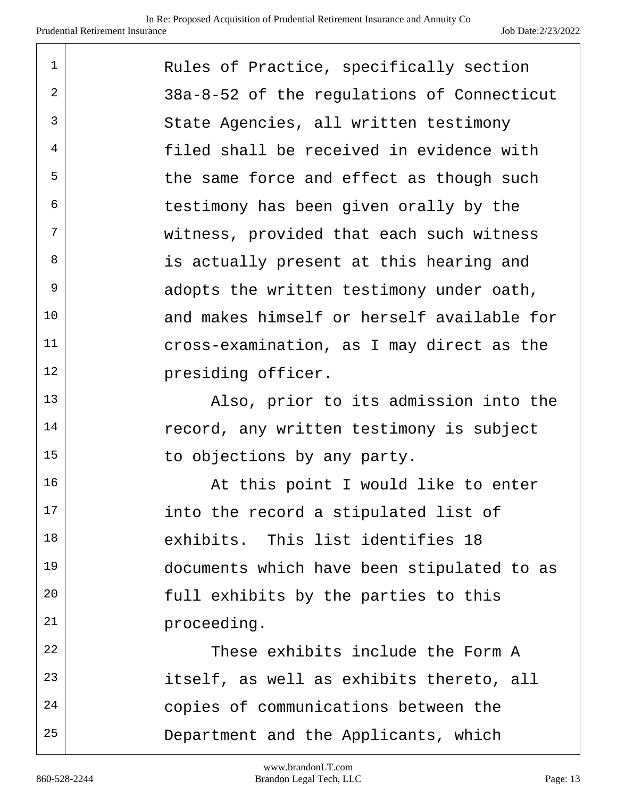| $\mathbf 1$    | Rules of Practice, specifically section    |
|----------------|--------------------------------------------|
| $\overline{2}$ | 38a-8-52 of the regulations of Connecticut |
| 3              | State Agencies, all written testimony      |
| 4              | filed shall be received in evidence with   |
| 5              | the same force and effect as though such   |
| 6              | testimony has been given orally by the     |
| 7              | witness, provided that each such witness   |
| 8              | is actually present at this hearing and    |
| 9              | adopts the written testimony under oath,   |
| 10             | and makes himself or herself available for |
| 11             | cross-examination, as I may direct as the  |
| 12             | presiding officer.                         |
| 13             | Also, prior to its admission into the      |
| 14             | record, any written testimony is subject   |
| 15             | to objections by any party.                |
| 16             | At this point I would like to enter        |
| 17             | into the record a stipulated list of       |
| 18             | exhibits. This list identifies 18          |
| 19             | documents which have been stipulated to as |
| 20             | full exhibits by the parties to this       |
| 21             | proceeding.                                |
| 22             | These exhibits include the Form A          |
| 23             | itself, as well as exhibits thereto, all   |
| 24             | copies of communications between the       |
| 25             | Department and the Applicants, which       |

 $\top$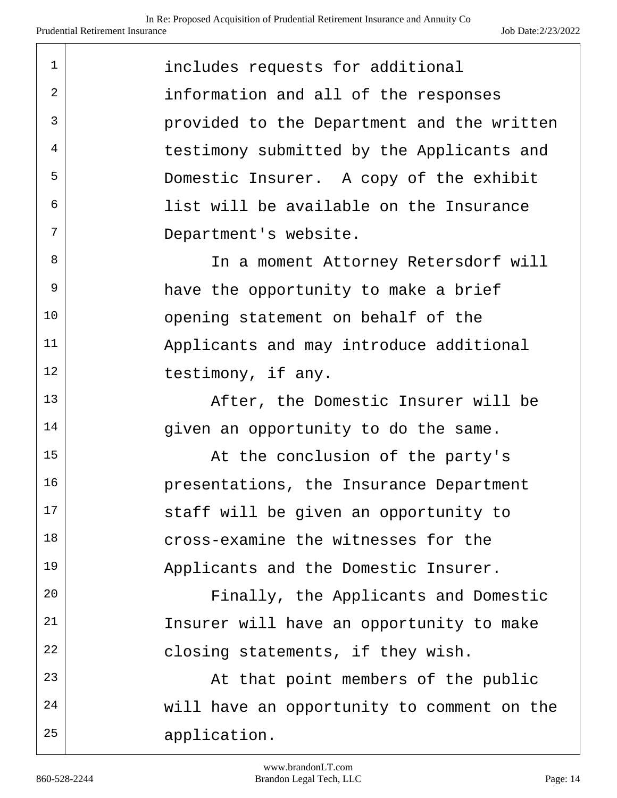| 1  | includes requests for additional           |
|----|--------------------------------------------|
| 2  | information and all of the responses       |
| 3  | provided to the Department and the written |
| 4  | testimony submitted by the Applicants and  |
| 5  | Domestic Insurer. A copy of the exhibit    |
| 6  | list will be available on the Insurance    |
| 7  | Department's website.                      |
| 8  | In a moment Attorney Retersdorf will       |
| 9  | have the opportunity to make a brief       |
| 10 | opening statement on behalf of the         |
| 11 | Applicants and may introduce additional    |
| 12 | testimony, if any.                         |
| 13 | After, the Domestic Insurer will be        |
| 14 | given an opportunity to do the same.       |
| 15 | At the conclusion of the party's           |
| 16 | presentations, the Insurance Department    |
| 17 | staff will be given an opportunity to      |
| 18 | cross-examine the witnesses for the        |
| 19 | Applicants and the Domestic Insurer.       |
| 20 | Finally, the Applicants and Domestic       |
| 21 | Insurer will have an opportunity to make   |
| 22 | closing statements, if they wish.          |
| 23 | At that point members of the public        |
| 24 | will have an opportunity to comment on the |
| 25 | application.                               |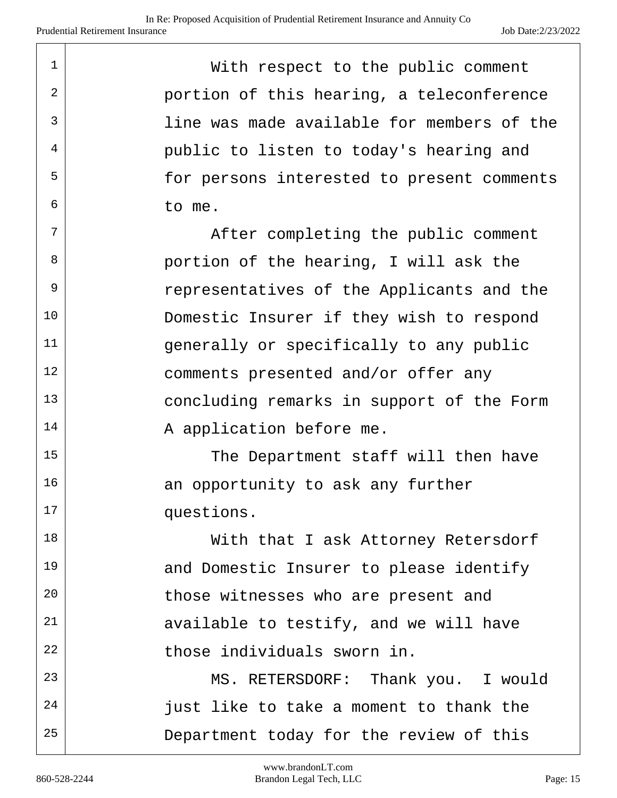| 1              | With respect to the public comment         |
|----------------|--------------------------------------------|
| $\overline{2}$ | portion of this hearing, a teleconference  |
| 3              | line was made available for members of the |
| 4              | public to listen to today's hearing and    |
| 5              | for persons interested to present comments |
| 6              | to me.                                     |
| 7              | After completing the public comment        |
| 8              | portion of the hearing, I will ask the     |
| 9              | representatives of the Applicants and the  |
| 10             | Domestic Insurer if they wish to respond   |
| 11             | generally or specifically to any public    |
| 12             | comments presented and/or offer any        |
| 13             | concluding remarks in support of the Form  |
| 14             | A application before me.                   |
| 15             | The Department staff will then have        |
| 16             | an opportunity to ask any further          |
| 17             | questions.                                 |
| 18             | With that I ask Attorney Retersdorf        |
| 19             | and Domestic Insurer to please identify    |
| 20             | those witnesses who are present and        |
| 21             | available to testify, and we will have     |
| 22             | those individuals sworn in.                |
| 23             | MS. RETERSDORF: Thank you. I would         |
| 24             | just like to take a moment to thank the    |
| 25             | Department today for the review of this    |

 $\top$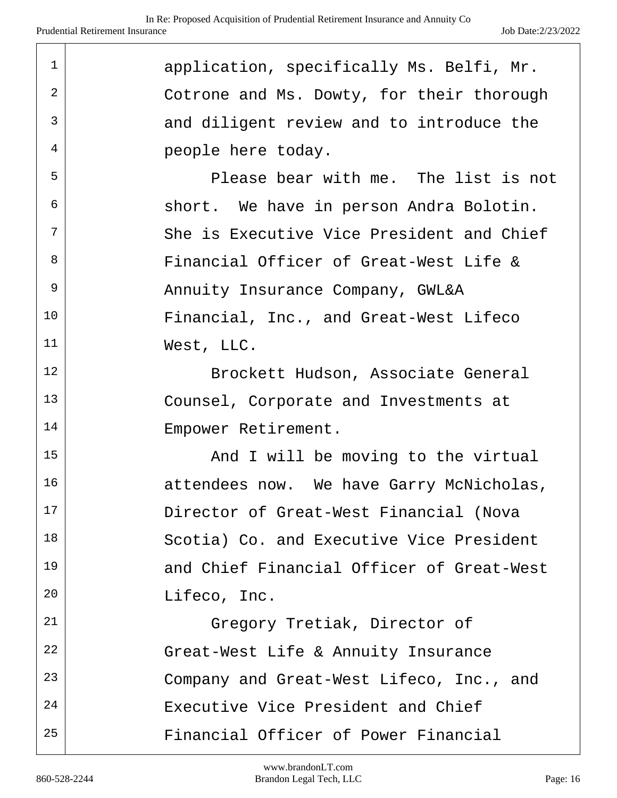| $\mathbf{1}$ | application, specifically Ms. Belfi, Mr.  |
|--------------|-------------------------------------------|
| 2            | Cotrone and Ms. Dowty, for their thorough |
| 3            | and diligent review and to introduce the  |
| 4            | people here today.                        |
| 5            | Please bear with me. The list is not      |
| 6            | short. We have in person Andra Bolotin.   |
| 7            | She is Executive Vice President and Chief |
| 8            | Financial Officer of Great-West Life &    |
| 9            | Annuity Insurance Company, GWL&A          |
| 10           | Financial, Inc., and Great-West Lifeco    |
| 11           | West, LLC.                                |
| 12           | Brockett Hudson, Associate General        |
| 13           | Counsel, Corporate and Investments at     |
| 14           | Empower Retirement.                       |
| 15           | And I will be moving to the virtual       |
| 16           | attendees now. We have Garry McNicholas,  |
| 17           | Director of Great-West Financial (Nova    |
| 18           | Scotia) Co. and Executive Vice President  |
| 19           | and Chief Financial Officer of Great-West |
| 20           | Lifeco, Inc.                              |
| 21           | Gregory Tretiak, Director of              |
| 22           | Great-West Life & Annuity Insurance       |
| 23           | Company and Great-West Lifeco, Inc., and  |
| 24           | Executive Vice President and Chief        |
| 25           | Financial Officer of Power Financial      |

I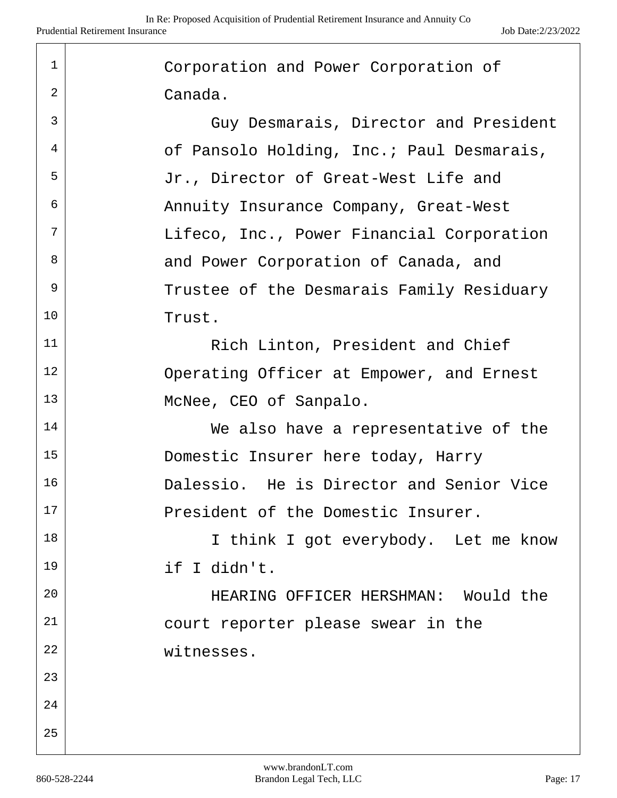| 1  | Corporation and Power Corporation of      |
|----|-------------------------------------------|
| 2  | Canada.                                   |
| 3  | Guy Desmarais, Director and President     |
| 4  | of Pansolo Holding, Inc.; Paul Desmarais, |
| 5  | Jr., Director of Great-West Life and      |
| 6  | Annuity Insurance Company, Great-West     |
| 7  | Lifeco, Inc., Power Financial Corporation |
| 8  | and Power Corporation of Canada, and      |
| 9  | Trustee of the Desmarais Family Residuary |
| 10 | Trust.                                    |
| 11 | Rich Linton, President and Chief          |
| 12 | Operating Officer at Empower, and Ernest  |
| 13 | McNee, CEO of Sanpalo.                    |
| 14 | We also have a representative of the      |
| 15 | Domestic Insurer here today, Harry        |
| 16 | Dalessio. He is Director and Senior Vice  |
| 17 | President of the Domestic Insurer.        |
| 18 | I think I got everybody. Let me know      |
| 19 | if I didn't.                              |
| 20 | HEARING OFFICER HERSHMAN: Would the       |
| 21 | court reporter please swear in the        |
| 22 | witnesses.                                |
| 23 |                                           |
| 24 |                                           |
| 25 |                                           |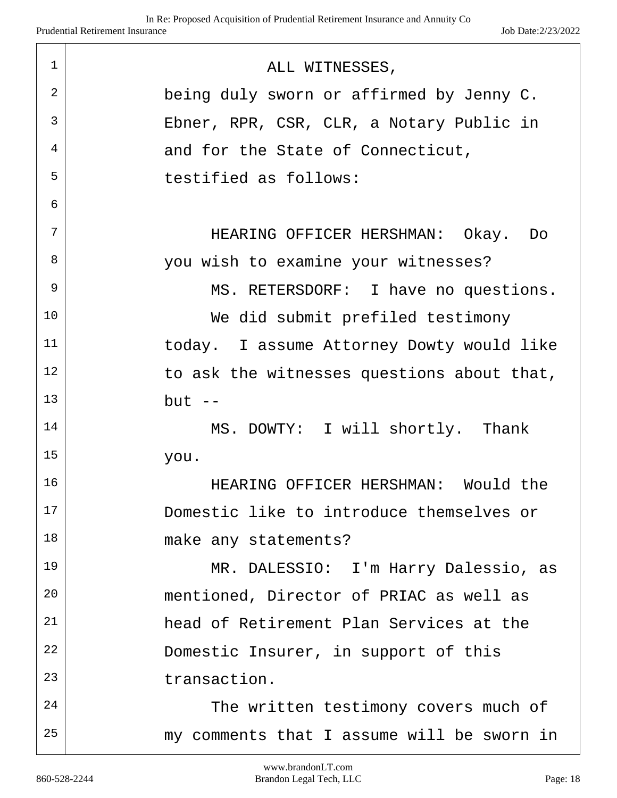| $\mathbf{1}$ | ALL WITNESSES,                             |
|--------------|--------------------------------------------|
| 2            | being duly sworn or affirmed by Jenny C.   |
| 3            | Ebner, RPR, CSR, CLR, a Notary Public in   |
| 4            | and for the State of Connecticut,          |
| 5            | testified as follows:                      |
| 6            |                                            |
| 7            | HEARING OFFICER HERSHMAN: Okay. Do         |
| 8            | you wish to examine your witnesses?        |
| 9            | MS. RETERSDORF: I have no questions.       |
| 10           | We did submit prefiled testimony           |
| 11           | today. I assume Attorney Dowty would like  |
| 12           | to ask the witnesses questions about that, |
| 13           | $but --$                                   |
| 14           | MS. DOWTY: I will shortly. Thank           |
| 15           | you.                                       |
| 16           | HEARING OFFICER HERSHMAN: Would the        |
| 17           | Domestic like to introduce themselves or   |
| 18           | make any statements?                       |
| 19           | MR. DALESSIO: I'm Harry Dalessio, as       |
| 20           | mentioned, Director of PRIAC as well as    |
| 21           | head of Retirement Plan Services at the    |
| 22           | Domestic Insurer, in support of this       |
| 23           | transaction.                               |
| 24           | The written testimony covers much of       |
| 25           | my comments that I assume will be sworn in |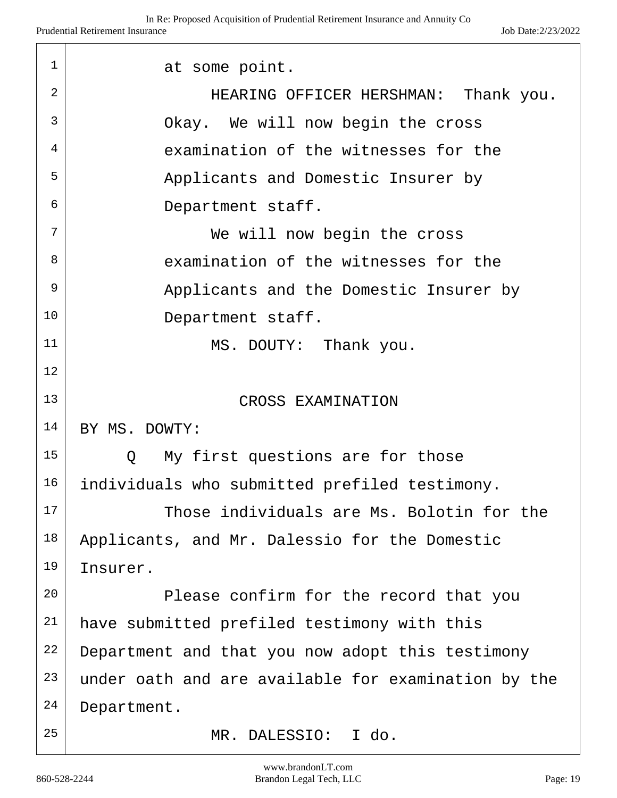| 1              | at some point.                                        |  |
|----------------|-------------------------------------------------------|--|
| $\overline{2}$ | HEARING OFFICER HERSHMAN: Thank you.                  |  |
| 3              | Okay. We will now begin the cross                     |  |
| 4              | examination of the witnesses for the                  |  |
| 5              | Applicants and Domestic Insurer by                    |  |
| 6              | Department staff.                                     |  |
| 7              | We will now begin the cross                           |  |
| 8              | examination of the witnesses for the                  |  |
| 9              | Applicants and the Domestic Insurer by                |  |
| 10             | Department staff.                                     |  |
| 11             | MS. DOUTY: Thank you.                                 |  |
| 12             |                                                       |  |
| 13             | CROSS EXAMINATION                                     |  |
| 14             | BY MS. DOWTY:                                         |  |
| 15             | My first questions are for those<br>$Q \qquad \qquad$ |  |
| 16             | individuals who submitted prefiled testimony.         |  |
| 17             | Those individuals are Ms. Bolotin for the             |  |
| 18             | Applicants, and Mr. Dalessio for the Domestic         |  |
| 19             | Insurer.                                              |  |
| 20             | Please confirm for the record that you                |  |
| 21             | have submitted prefiled testimony with this           |  |
| 22             | Department and that you now adopt this testimony      |  |
| 23             | under oath and are available for examination by the   |  |
| 24             | Department.                                           |  |
| 25             | I do.<br>MR. DALESSIO:                                |  |

 $\top$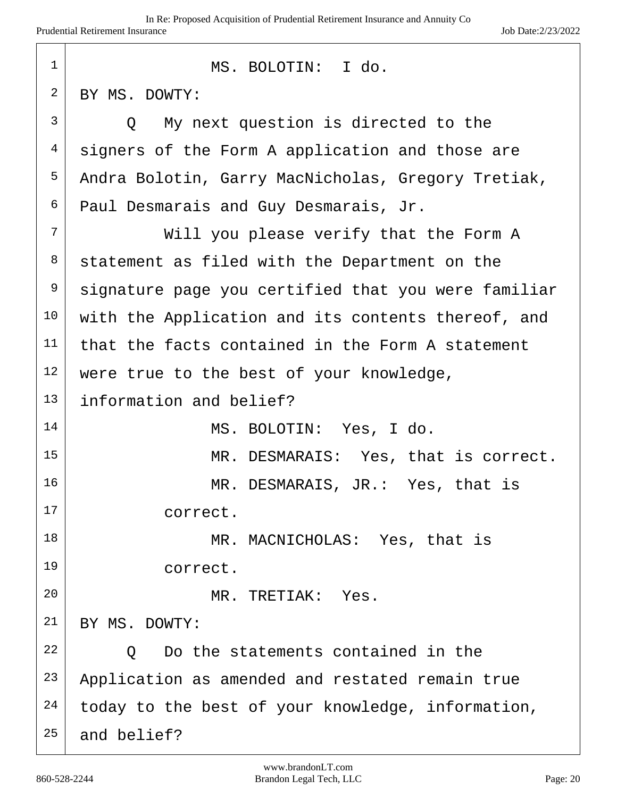| $\mathbf 1$  | MS. BOLOTIN: I do.                                  |
|--------------|-----------------------------------------------------|
| 2            | BY MS. DOWTY:                                       |
| $\mathsf{3}$ | Q My next question is directed to the               |
| 4            | signers of the Form A application and those are     |
| 5            | Andra Bolotin, Garry MacNicholas, Gregory Tretiak,  |
| 6            | Paul Desmarais and Guy Desmarais, Jr.               |
| 7            | Will you please verify that the Form A              |
| 8            | statement as filed with the Department on the       |
| 9            | signature page you certified that you were familiar |
| 10           | with the Application and its contents thereof, and  |
| 11           | that the facts contained in the Form A statement    |
| 12           | were true to the best of your knowledge,            |
| 13           | information and belief?                             |
| 14           | MS. BOLOTIN: Yes, I do.                             |
| 15           | MR. DESMARAIS: Yes, that is correct.                |
| 16           | MR. DESMARAIS, JR.: Yes, that is                    |
| 17           | correct.                                            |
| 18           | MR. MACNICHOLAS: Yes, that is                       |
| 19           | correct.                                            |
| 20           | MR. TRETIAK: Yes.                                   |
| 21           | BY MS. DOWTY:                                       |
| 22           | Do the statements contained in the<br>$\circ$       |
| 23           | Application as amended and restated remain true     |
| 24           | today to the best of your knowledge, information,   |
| 25           | and belief?                                         |

l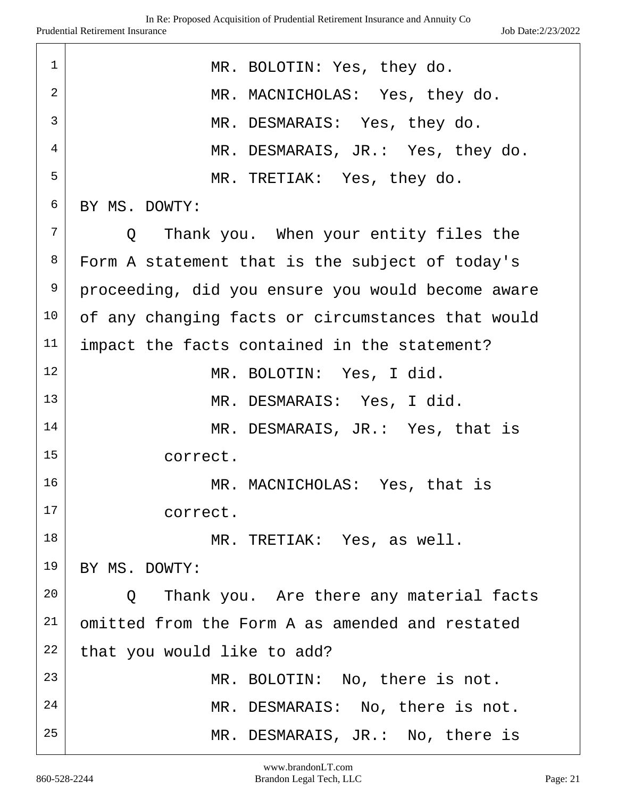| $\mathbf 1$ | MR. BOLOTIN: Yes, they do.                        |
|-------------|---------------------------------------------------|
| 2           | MR. MACNICHOLAS: Yes, they do.                    |
| 3           | MR. DESMARAIS: Yes, they do.                      |
| 4           | MR. DESMARAIS, JR.: Yes, they do.                 |
| 5           | MR. TRETIAK: Yes, they do.                        |
| 6           | BY MS. DOWTY:                                     |
| 7           | Q Thank you. When your entity files the           |
| 8           | Form A statement that is the subject of today's   |
| 9           | proceeding, did you ensure you would become aware |
| 10          | of any changing facts or circumstances that would |
| 11          | impact the facts contained in the statement?      |
| 12          | MR. BOLOTIN: Yes, I did.                          |
| 13          | MR. DESMARAIS: Yes, I did.                        |
| 14          | MR. DESMARAIS, JR.: Yes, that is                  |
| 15          | correct.                                          |
| 16          | MR. MACNICHOLAS: Yes, that is                     |
| 17          | correct.                                          |
| 18          | MR. TRETIAK: Yes, as well.                        |
| 19          | BY MS. DOWTY:                                     |
| 20          | Q Thank you. Are there any material facts         |
| 21          | omitted from the Form A as amended and restated   |
| 22          | that you would like to add?                       |
| 23          | MR. BOLOTIN: No, there is not.                    |
| 24          | MR. DESMARAIS: No, there is not.                  |
| 25          | MR. DESMARAIS, JR.: No, there is                  |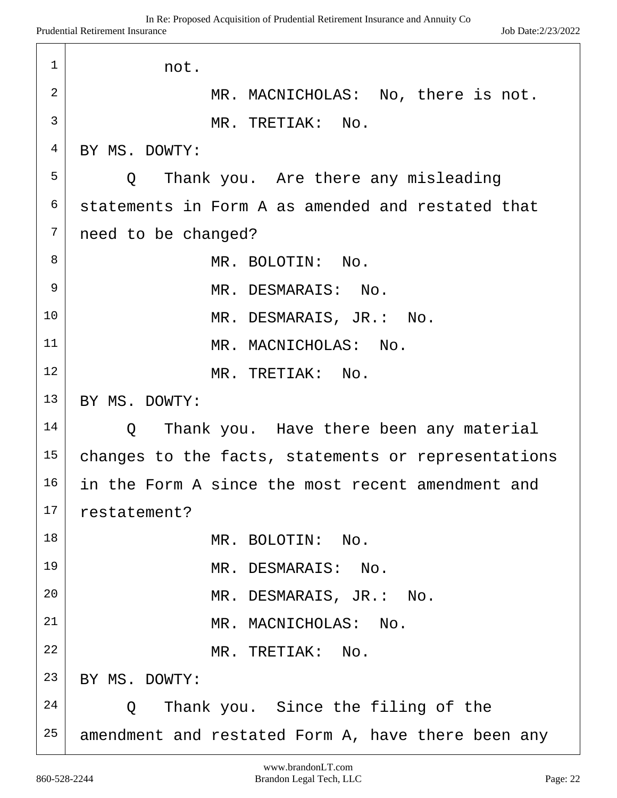| 1              | not.                                                |
|----------------|-----------------------------------------------------|
| $\overline{2}$ | MR. MACNICHOLAS: No, there is not.                  |
| 3              | MR. TRETIAK: No.                                    |
| $\overline{4}$ | BY MS. DOWTY:                                       |
| 5              | Q   Thank you.  Are there any misleading            |
| 6              | statements in Form A as amended and restated that   |
| 7              | need to be changed?                                 |
| 8              | MR. BOLOTIN: No.                                    |
| 9              | MR. DESMARAIS: No.                                  |
| 10             | MR. DESMARAIS, JR.: No.                             |
| 11             | MR. MACNICHOLAS: No.                                |
| 12             | MR. TRETIAK: No.                                    |
| 13             | BY MS. DOWTY:                                       |
| 14             | Thank you. Have there been any material<br>Q        |
| 15             | changes to the facts, statements or representations |
| 16             | in the Form A since the most recent amendment and   |
| 17             | restatement?                                        |
| 18             | MR. BOLOTIN: No.                                    |
| 19             | MR. DESMARAIS: No.                                  |
| 20             | MR. DESMARAIS, JR.: No.                             |
| 21             | MR. MACNICHOLAS: No.                                |
| 22             | MR. TRETIAK: No.                                    |
| 23             | BY MS. DOWTY:                                       |
| 24             | Thank you. Since the filing of the<br>Q             |
| 25             | amendment and restated Form A, have there been any  |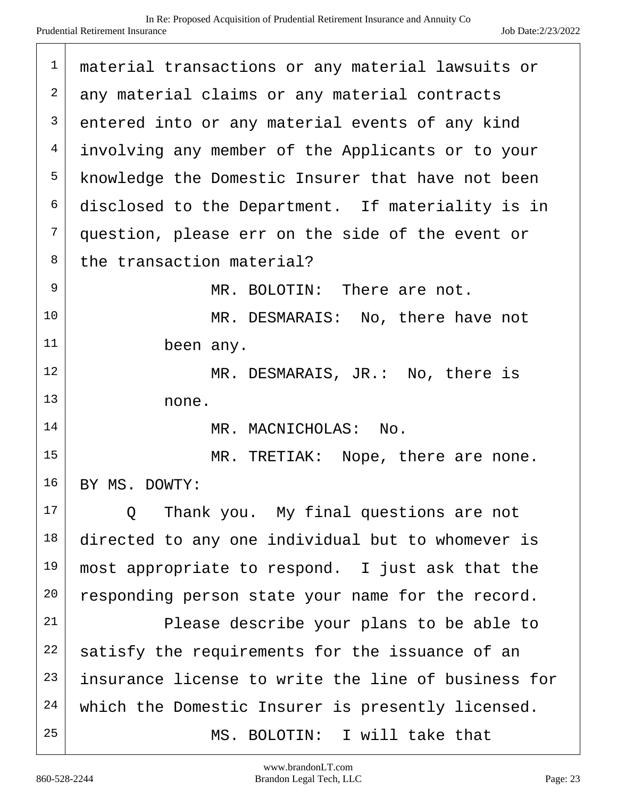| $\mathbf 1$ | material transactions or any material lawsuits or   |
|-------------|-----------------------------------------------------|
| 2           | any material claims or any material contracts       |
| 3           | entered into or any material events of any kind     |
| 4           | involving any member of the Applicants or to your   |
| 5           | knowledge the Domestic Insurer that have not been   |
| 6           | disclosed to the Department. If materiality is in   |
| 7           | question, please err on the side of the event or    |
| 8           | the transaction material?                           |
| 9           | MR. BOLOTIN: There are not.                         |
| 10          | MR. DESMARAIS: No, there have not                   |
| 11          | been any.                                           |
| 12          | MR. DESMARAIS, JR.: No, there is                    |
| 13          | none.                                               |
| 14          | MR. MACNICHOLAS: No.                                |
| 15          | MR. TRETIAK: Nope, there are none.                  |
| 16          | BY MS. DOWTY:                                       |
| 17          | Thank you. My final questions are not<br>$\circ$    |
| 18          | directed to any one individual but to whomever is   |
| 19          | most appropriate to respond. I just ask that the    |
| 20          | responding person state your name for the record.   |
| 21          | Please describe your plans to be able to            |
| 22          | satisfy the requirements for the issuance of an     |
| 23          | insurance license to write the line of business for |
| 24          | which the Domestic Insurer is presently licensed.   |
| 25          | MS. BOLOTIN: I will take that                       |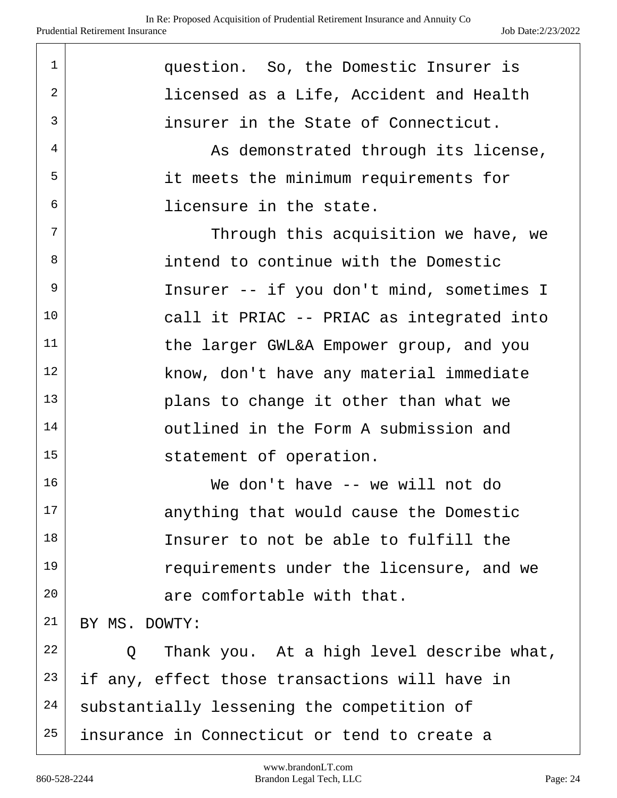| $\mathbf 1$    | question. So, the Domestic Insurer is                    |
|----------------|----------------------------------------------------------|
| $\overline{2}$ | licensed as a Life, Accident and Health                  |
| 3              | insurer in the State of Connecticut.                     |
| 4              | As demonstrated through its license,                     |
| 5              | it meets the minimum requirements for                    |
| 6              | licensure in the state.                                  |
| 7              | Through this acquisition we have, we                     |
| 8              | intend to continue with the Domestic                     |
| 9              | Insurer -- if you don't mind, sometimes I                |
| 10             | call it PRIAC -- PRIAC as integrated into                |
| 11             | the larger GWL&A Empower group, and you                  |
| 12             | know, don't have any material immediate                  |
| 13             | plans to change it other than what we                    |
| 14             | outlined in the Form A submission and                    |
| 15             | statement of operation.                                  |
| 16             | We don't have -- we will not do                          |
| 17             | anything that would cause the Domestic                   |
| 18             | Insurer to not be able to fulfill the                    |
| 19             | requirements under the licensure, and we                 |
| 20             | are comfortable with that.                               |
| 21             | BY MS. DOWTY:                                            |
| 22             | Thank you. At a high level describe what,<br>$Q_{\perp}$ |
| 23             | if any, effect those transactions will have in           |
| 24             | substantially lessening the competition of               |
| 25             | insurance in Connecticut or tend to create a             |
|                |                                                          |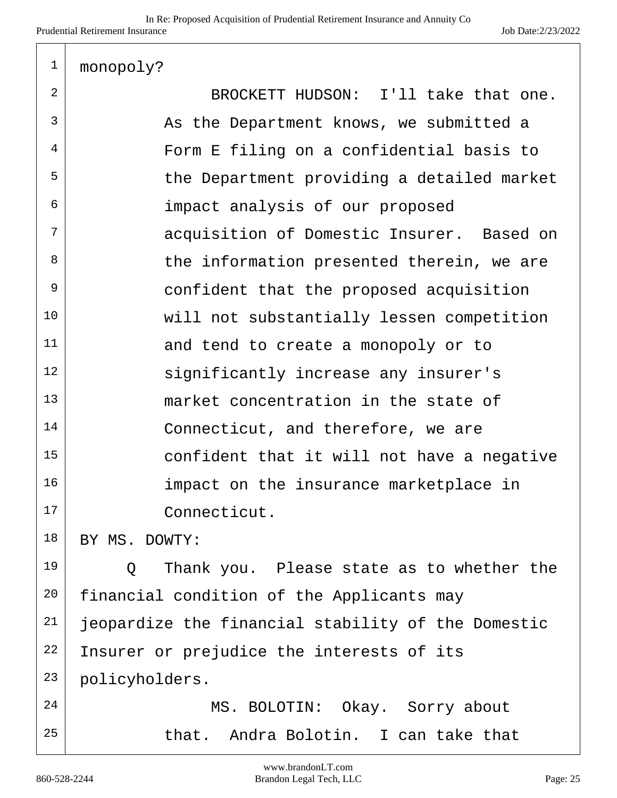|  | monopoly? |
|--|-----------|
|--|-----------|

| $\overline{2}$ | BROCKETT HUDSON: I'll take that one.               |
|----------------|----------------------------------------------------|
| 3              | As the Department knows, we submitted a            |
| 4              | Form E filing on a confidential basis to           |
| 5              | the Department providing a detailed market         |
| 6              | impact analysis of our proposed                    |
| 7              | acquisition of Domestic Insurer. Based on          |
| 8              | the information presented therein, we are          |
| 9              | confident that the proposed acquisition            |
| 10             | will not substantially lessen competition          |
| 11             | and tend to create a monopoly or to                |
| 12             | significantly increase any insurer's               |
| 13             | market concentration in the state of               |
| 14             | Connecticut, and therefore, we are                 |
| 15             | confident that it will not have a negative         |
| 16             | impact on the insurance marketplace in             |
| 17             | Connecticut.                                       |
| 18             | BY MS. DOWTY:                                      |
| 19             | Thank you. Please state as to whether the<br>Q     |
| 20             | financial condition of the Applicants may          |
| 21             | jeopardize the financial stability of the Domestic |
| 22             | Insurer or prejudice the interests of its          |
| 23             | policyholders.                                     |

24 MS. BOLOTIN: Okay. Sorry about that. Andra Bolotin. I can take that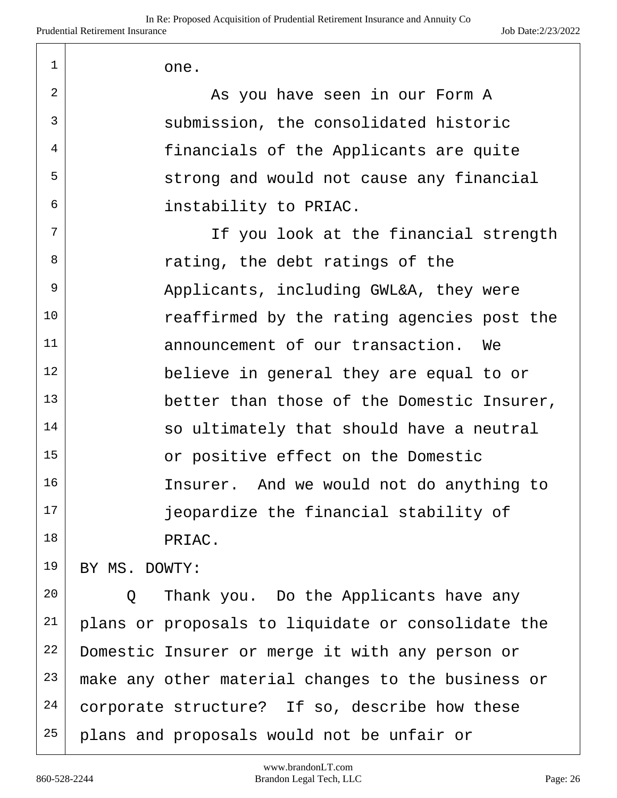2 As you have seen in our Form A 3 submission, the consolidated historic <sup>4</sup> financials of the Applicants are quite  $5$  strong and would not cause any financial 6 instability to PRIAC.

 $7$  If you look at the financial strength  $8$  rating, the debt ratings of the 9 Applicants, including GWL&A, they were 10 Teaffirmed by the rating agencies post the 11 announcement of our transaction. We 12 believe in general they are equal to or 13 better than those of the Domestic Insurer,  $14$  so ultimately that should have a neutral 15 or positive effect on the Domestic 16 Insurer. And we would not do anything to 17 | ieopardize the financial stability of 18 PRIAC.

19 BY MS. DOWTY:

 Q Thank you. Do the Applicants have any plans or proposals to liquidate or consolidate the 22 Domestic Insurer or merge it with any person or make any other material changes to the business or corporate structure? If so, describe how these 25 plans and proposals would not be unfair or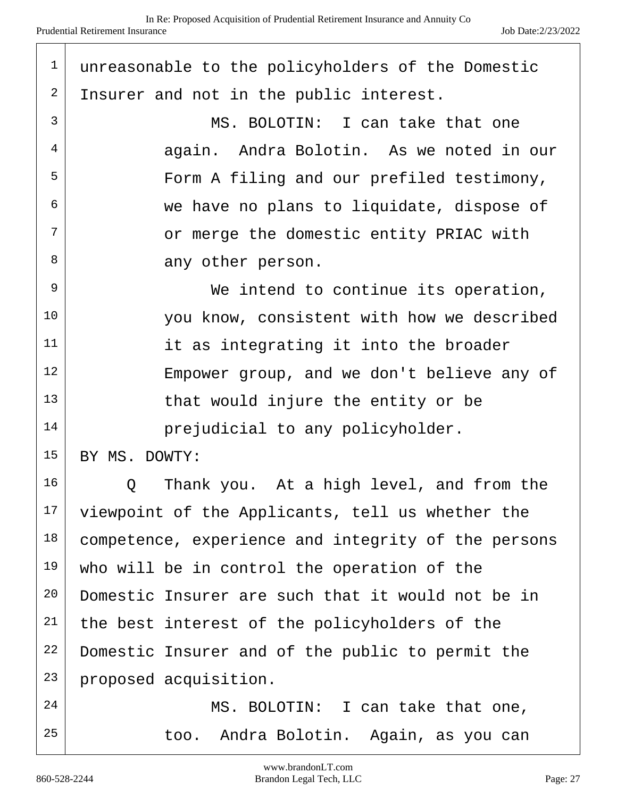| $\mathbf 1$ | unreasonable to the policyholders of the Domestic   |
|-------------|-----------------------------------------------------|
| 2           | Insurer and not in the public interest.             |
| 3           | MS. BOLOTIN: I can take that one                    |
| 4           | again. Andra Bolotin. As we noted in our            |
| 5           | Form A filing and our prefiled testimony,           |
| 6           | we have no plans to liquidate, dispose of           |
| 7           | or merge the domestic entity PRIAC with             |
| 8           | any other person.                                   |
| 9           | We intend to continue its operation,                |
| 10          | you know, consistent with how we described          |
| 11          | it as integrating it into the broader               |
| 12          | Empower group, and we don't believe any of          |
| 13          | that would injure the entity or be                  |
| 14          | prejudicial to any policyholder.                    |
| 15          | BY MS. DOWTY:                                       |
| 16          | Thank you. At a high level, and from the<br>Q       |
| 17          | viewpoint of the Applicants, tell us whether the    |
| 18          | competence, experience and integrity of the persons |
| 19          | who will be in control the operation of the         |
| 20          | Domestic Insurer are such that it would not be in   |
| 21          | the best interest of the policyholders of the       |
| 22          | Domestic Insurer and of the public to permit the    |
| 23          | proposed acquisition.                               |
| 24          | MS. BOLOTIN: I can take that one,                   |
| 25          | too. Andra Bolotin. Again, as you can               |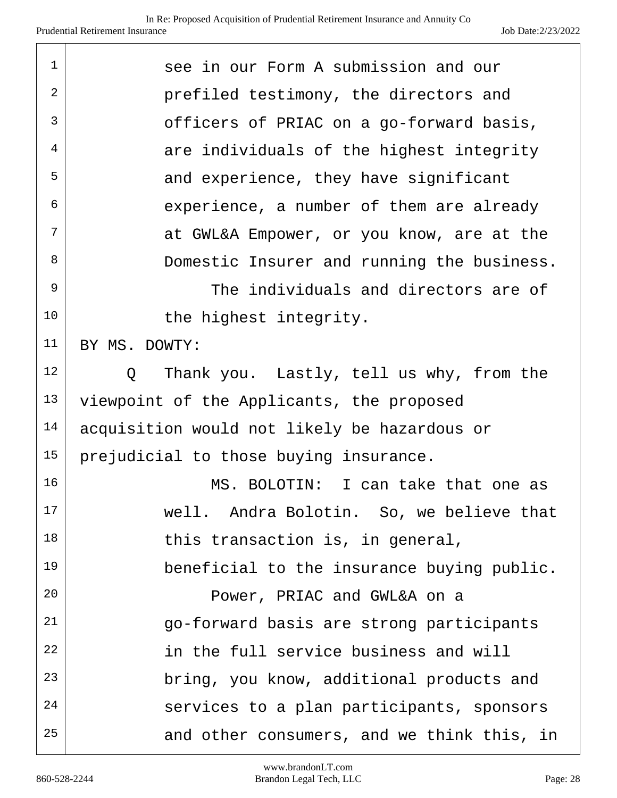| 1          | see in our Form A submission and our                    |
|------------|---------------------------------------------------------|
| $\sqrt{2}$ | prefiled testimony, the directors and                   |
| 3          | officers of PRIAC on a go-forward basis,                |
| 4          | are individuals of the highest integrity                |
| 5          | and experience, they have significant                   |
| 6          | experience, a number of them are already                |
| 7          | at GWL&A Empower, or you know, are at the               |
| 8          | Domestic Insurer and running the business.              |
| 9          | The individuals and directors are of                    |
| 10         | the highest integrity.                                  |
| 11         | BY MS. DOWTY:                                           |
| 12         | Thank you. Lastly, tell us why, from the<br>$Q_{\rm c}$ |
| 13         | viewpoint of the Applicants, the proposed               |
| 14         | acquisition would not likely be hazardous or            |
| 15         | prejudicial to those buying insurance.                  |
| 16         | MS. BOLOTIN: I can take that one as                     |
| 17         | well. Andra Bolotin. So, we believe that                |
| 18         | this transaction is, in general,                        |
| 19         | beneficial to the insurance buying public.              |
| 20         | Power, PRIAC and GWL&A on a                             |
| 21         | go-forward basis are strong participants                |
| 22         | in the full service business and will                   |
| 23         | bring, you know, additional products and                |
| 24         | services to a plan participants, sponsors               |
| 25         | and other consumers, and we think this, in              |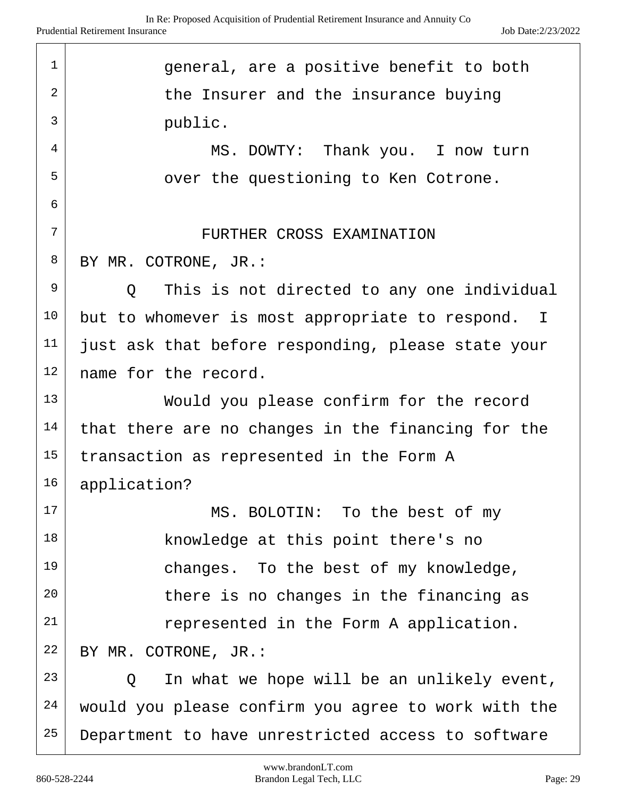| $\mathbf 1$    | general, are a positive benefit to both               |
|----------------|-------------------------------------------------------|
| $\overline{2}$ | the Insurer and the insurance buying                  |
| 3              | public.                                               |
| 4              | MS. DOWTY: Thank you. I now turn                      |
| 5              | over the questioning to Ken Cotrone.                  |
| 6              |                                                       |
| 7              | FURTHER CROSS EXAMINATION                             |
| 8              | BY MR. COTRONE, JR.:                                  |
| 9              | This is not directed to any one individual<br>$\circ$ |
| 10             | but to whomever is most appropriate to respond. I     |
| 11             | just ask that before responding, please state your    |
| 12             | name for the record.                                  |
| 13             | Would you please confirm for the record               |
| 14             | that there are no changes in the financing for the    |
| 15             | transaction as represented in the Form A              |
| 16             | application?                                          |
| 17             | MS. BOLOTIN: To the best of my                        |
| 18             | knowledge at this point there's no                    |
| 19             | changes. To the best of my knowledge,                 |
| 20             | there is no changes in the financing as               |
| 21             | represented in the Form A application.                |
| 22             | BY MR. COTRONE, JR.:                                  |
| 23             | In what we hope will be an unlikely event,<br>O.      |
| 24             | would you please confirm you agree to work with the   |
| 25             | Department to have unrestricted access to software    |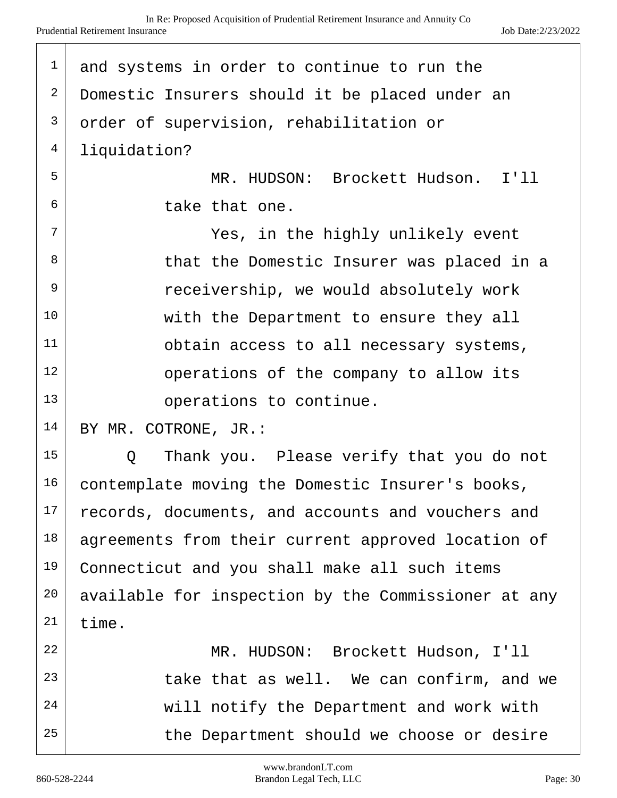| $\mathbf 1$    | and systems in order to continue to run the         |
|----------------|-----------------------------------------------------|
| $\mathbf{2}$   | Domestic Insurers should it be placed under an      |
| $\mathsf{3}$   | order of supervision, rehabilitation or             |
| $\overline{4}$ | liquidation?                                        |
| 5              | MR. HUDSON: Brockett Hudson. I'll                   |
| 6              | take that one.                                      |
| 7              | Yes, in the highly unlikely event                   |
| 8              | that the Domestic Insurer was placed in a           |
| 9              | receivership, we would absolutely work              |
| 10             | with the Department to ensure they all              |
| 11             | obtain access to all necessary systems,             |
| 12             | operations of the company to allow its              |
| 13             | operations to continue.                             |
| 14             | BY MR. COTRONE, JR.:                                |
| 15             | Thank you. Please verify that you do not<br>Q       |
| 16             | contemplate moving the Domestic Insurer's books,    |
| 17             | records, documents, and accounts and vouchers and   |
| 18             | agreements from their current approved location of  |
| 19             | Connecticut and you shall make all such items       |
| 20             | available for inspection by the Commissioner at any |
| 21             | time.                                               |
| 22             | MR. HUDSON: Brockett Hudson, I'll                   |
| 23             | take that as well. We can confirm, and we           |
| 24             | will notify the Department and work with            |
| 25             | the Department should we choose or desire           |
|                |                                                     |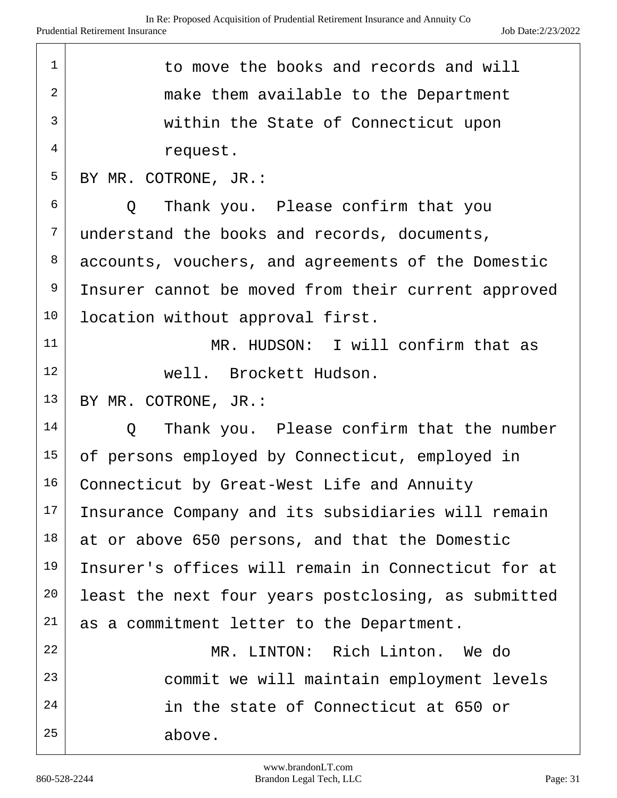| $\mathbf{1}$ | to move the books and records and will               |
|--------------|------------------------------------------------------|
| 2            | make them available to the Department                |
| 3            | within the State of Connecticut upon                 |
| 4            | request.                                             |
| 5            | BY MR. COTRONE, JR.:                                 |
| 6            | Thank you. Please confirm that you<br>$\circ$        |
| 7            | understand the books and records, documents,         |
| 8            | accounts, vouchers, and agreements of the Domestic   |
| 9            | Insurer cannot be moved from their current approved  |
| 10           | location without approval first.                     |
| 11           | MR. HUDSON: I will confirm that as                   |
| 12           | well. Brockett Hudson.                               |
| 13           | BY MR. COTRONE, JR.:                                 |
| 14           | Thank you. Please confirm that the number<br>$\circ$ |
| 15           | of persons employed by Connecticut, employed in      |
| 16           | Connecticut by Great-West Life and Annuity           |
| 17           | Insurance Company and its subsidiaries will remain   |
| 18           | at or above 650 persons, and that the Domestic       |
| 19           | Insurer's offices will remain in Connecticut for at  |
| 20           | least the next four years postclosing, as submitted  |
| 21           | as a commitment letter to the Department.            |
| 22           | MR. LINTON: Rich Linton. We do                       |
| 23           | commit we will maintain employment levels            |
| 24           | in the state of Connecticut at 650 or                |
| 25           | above.                                               |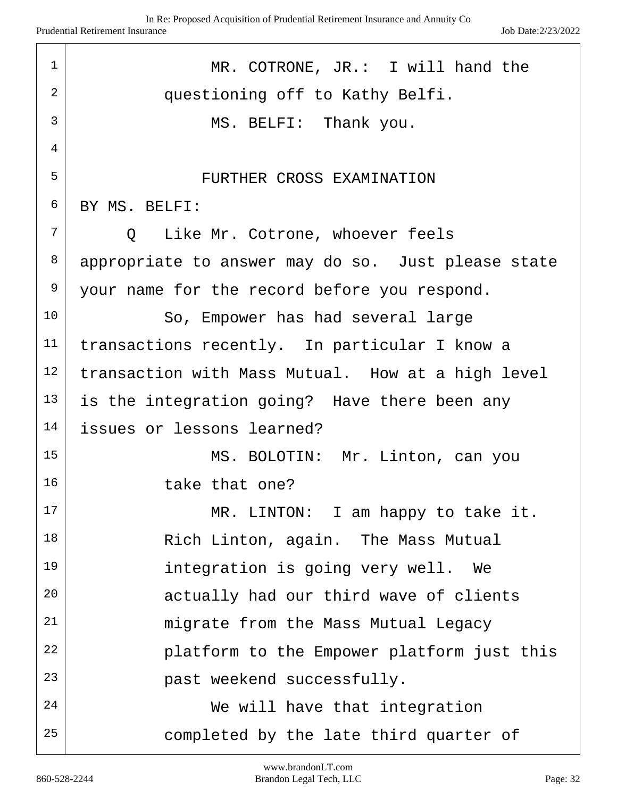| $\mathbf 1$    | MR. COTRONE, JR.: I will hand the                  |
|----------------|----------------------------------------------------|
| 2              | questioning off to Kathy Belfi.                    |
| $\overline{3}$ | MS. BELFI: Thank you.                              |
| 4              |                                                    |
| 5              | FURTHER CROSS EXAMINATION                          |
| 6              | BY MS. BELFI:                                      |
| 7              | Q Like Mr. Cotrone, whoever feels                  |
| 8              | appropriate to answer may do so. Just please state |
| 9              | your name for the record before you respond.       |
| 10             | So, Empower has had several large                  |
| 11             | transactions recently. In particular I know a      |
| 12             | transaction with Mass Mutual. How at a high level  |
| 13             | is the integration going? Have there been any      |
| 14             | issues or lessons learned?                         |
| 15             | MS. BOLOTIN: Mr. Linton, can you                   |
| 16             | take that one?                                     |
| 17             | MR. LINTON: I am happy to take it.                 |
| 18             | Rich Linton, again. The Mass Mutual                |
| 19             | integration is going very well. We                 |
| 20             | actually had our third wave of clients             |
| 21             | migrate from the Mass Mutual Legacy                |
| 22             | platform to the Empower platform just this         |
| 23             | past weekend successfully.                         |
| 24             | We will have that integration                      |
| 25             | completed by the late third quarter of             |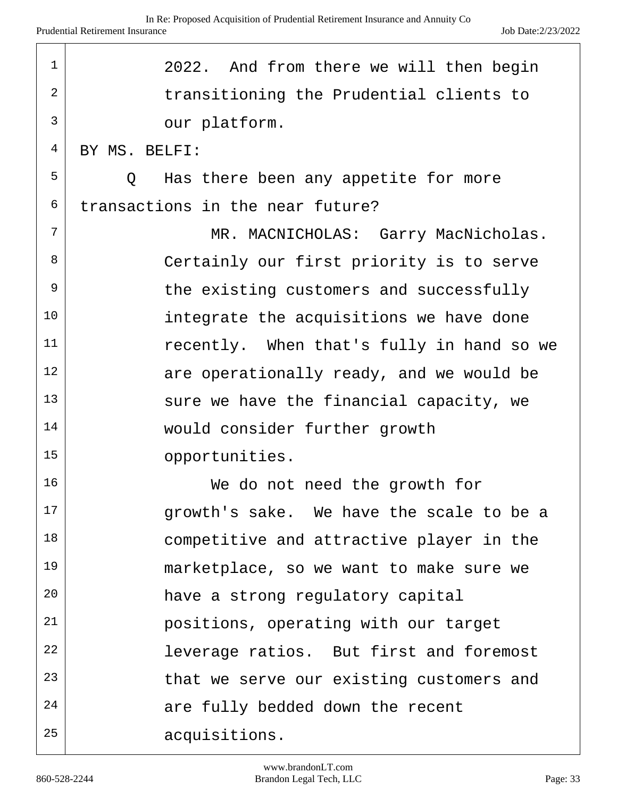| $\mathbf 1$ | 2022. And from there we will then begin         |
|-------------|-------------------------------------------------|
| 2           | transitioning the Prudential clients to         |
| 3           | our platform.                                   |
| 4           | BY MS. BELFI:                                   |
| 5           | Has there been any appetite for more<br>$\circ$ |
| 6           | transactions in the near future?                |
| 7           | MR. MACNICHOLAS: Garry MacNicholas.             |
| 8           | Certainly our first priority is to serve        |
| 9           | the existing customers and successfully         |
| 10          | integrate the acquisitions we have done         |
| 11          | recently. When that's fully in hand so we       |
| 12          | are operationally ready, and we would be        |
| 13          | sure we have the financial capacity, we         |
| 14          | would consider further growth                   |
| 15          | opportunities.                                  |
| 16          | We do not need the growth for                   |
| 17          | growth's sake. We have the scale to be a        |
| 18          | competitive and attractive player in the        |
| 19          | marketplace, so we want to make sure we         |
| 20          | have a strong regulatory capital                |
| 21          | positions, operating with our target            |
| 22          | leverage ratios. But first and foremost         |
| 23          | that we serve our existing customers and        |
| 24          | are fully bedded down the recent                |
| 25          | acquisitions.                                   |

 $\sqrt{ }$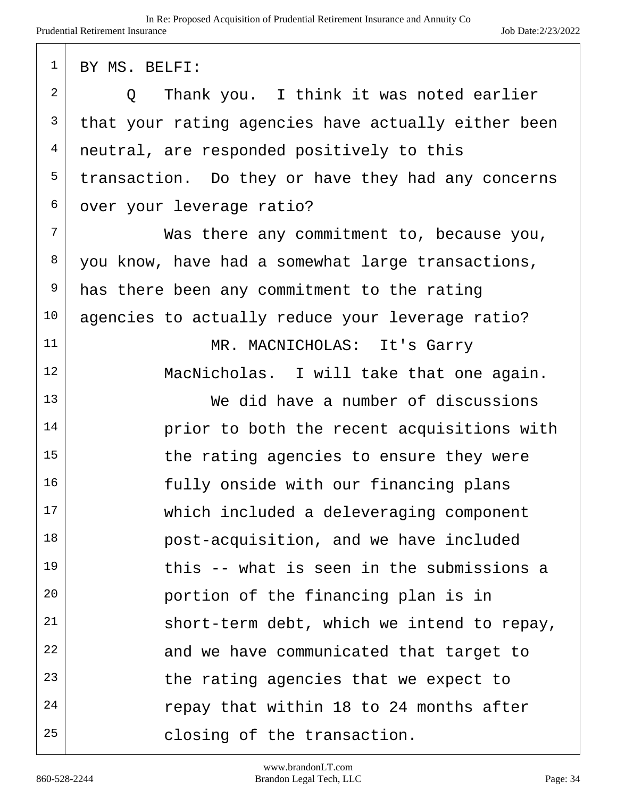| 1  | BY MS. BELFI:                                       |
|----|-----------------------------------------------------|
| 2  | Thank you. I think it was noted earlier<br>$\circ$  |
| 3  | that your rating agencies have actually either been |
| 4  | neutral, are responded positively to this           |
| 5  | transaction. Do they or have they had any concerns  |
| 6  | over your leverage ratio?                           |
| 7  | Was there any commitment to, because you,           |
| 8  | you know, have had a somewhat large transactions,   |
| 9  | has there been any commitment to the rating         |
| 10 | agencies to actually reduce your leverage ratio?    |
| 11 | MR. MACNICHOLAS: It's Garry                         |
| 12 | MacNicholas. I will take that one again.            |
| 13 | We did have a number of discussions                 |
| 14 | prior to both the recent acquisitions with          |
| 15 | the rating agencies to ensure they were             |
| 16 | fully onside with our financing plans               |
| 17 | which included a deleveraging component             |
| 18 | post-acquisition, and we have included              |
| 19 | this -- what is seen in the submissions a           |
| 20 | portion of the financing plan is in                 |
| 21 | short-term debt, which we intend to repay,          |
| 22 | and we have communicated that target to             |
| 23 | the rating agencies that we expect to               |
| 24 | repay that within 18 to 24 months after             |
| 25 | closing of the transaction.                         |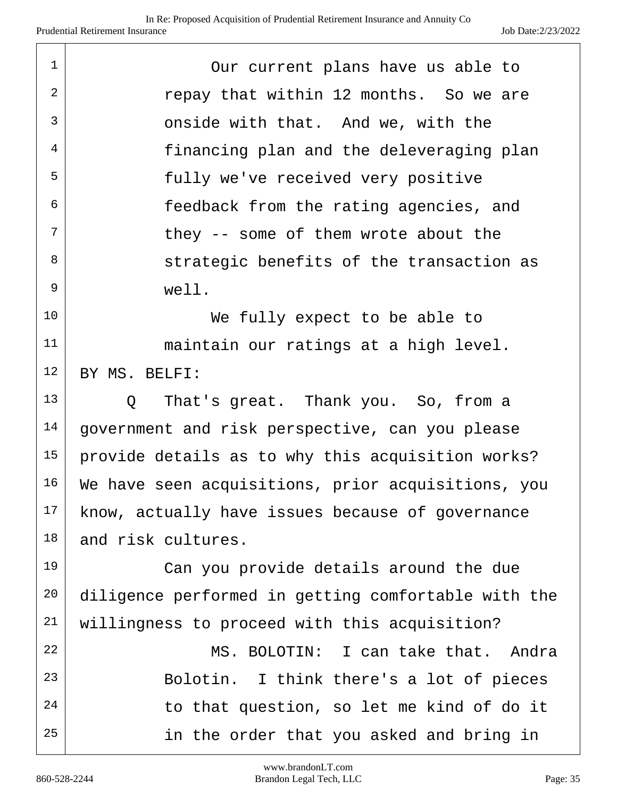| $\mathbf 1$ | Our current plans have us able to                   |
|-------------|-----------------------------------------------------|
| 2           | repay that within 12 months. So we are              |
| 3           | onside with that. And we, with the                  |
| 4           | financing plan and the deleveraging plan            |
| 5           | fully we've received very positive                  |
| 6           | feedback from the rating agencies, and              |
| 7           | they -- some of them wrote about the                |
| 8           | strategic benefits of the transaction as            |
| 9           | well.                                               |
| 10          | We fully expect to be able to                       |
| 11          | maintain our ratings at a high level.               |
| 12          | BY MS. BELFI:                                       |
| 13          | That's great. Thank you. So, from a<br>Q            |
| 14          | government and risk perspective, can you please     |
| 15          | provide details as to why this acquisition works?   |
| 16          | We have seen acquisitions, prior acquisitions, you  |
| 17          | know, actually have issues because of governance    |
| 18          | and risk cultures.                                  |
| 19          | Can you provide details around the due              |
| 20          | diligence performed in getting comfortable with the |
| 21          | willingness to proceed with this acquisition?       |
| 22          | MS. BOLOTIN: I can take that. Andra                 |
| 23          | Bolotin. I think there's a lot of pieces            |
| 24          | to that question, so let me kind of do it           |
| 25          | in the order that you asked and bring in            |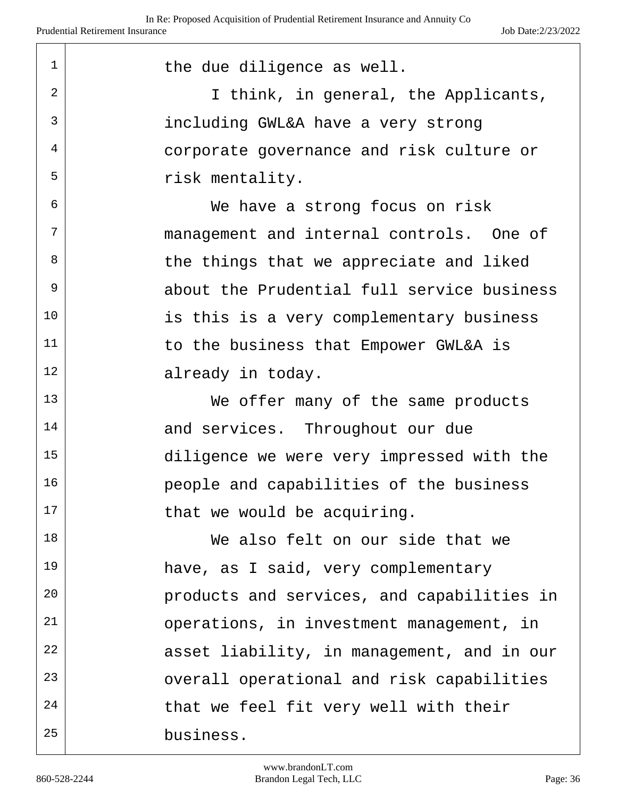| $\mathbf{1}$ | the due diligence as well.                 |
|--------------|--------------------------------------------|
| 2            | I think, in general, the Applicants,       |
| 3            | including GWL&A have a very strong         |
| 4            | corporate governance and risk culture or   |
| 5            | risk mentality.                            |
| 6            | We have a strong focus on risk             |
| 7            | management and internal controls. One of   |
| 8            | the things that we appreciate and liked    |
| 9            | about the Prudential full service business |
| 10           | is this is a very complementary business   |
| 11           | to the business that Empower GWL&A is      |
| 12           | already in today.                          |
| 13           | We offer many of the same products         |
| 14           | and services. Throughout our due           |
| 15           | diligence we were very impressed with the  |
| 16           | people and capabilities of the business    |
| 17           | that we would be acquiring.                |
| 18           | We also felt on our side that we           |
| 19           | have, as I said, very complementary        |
| 20           | products and services, and capabilities in |
| 21           | operations, in investment management, in   |
| 22           | asset liability, in management, and in our |
| 23           | overall operational and risk capabilities  |
| 24           | that we feel fit very well with their      |
| 25           | business.                                  |

 $\mathbf{r}$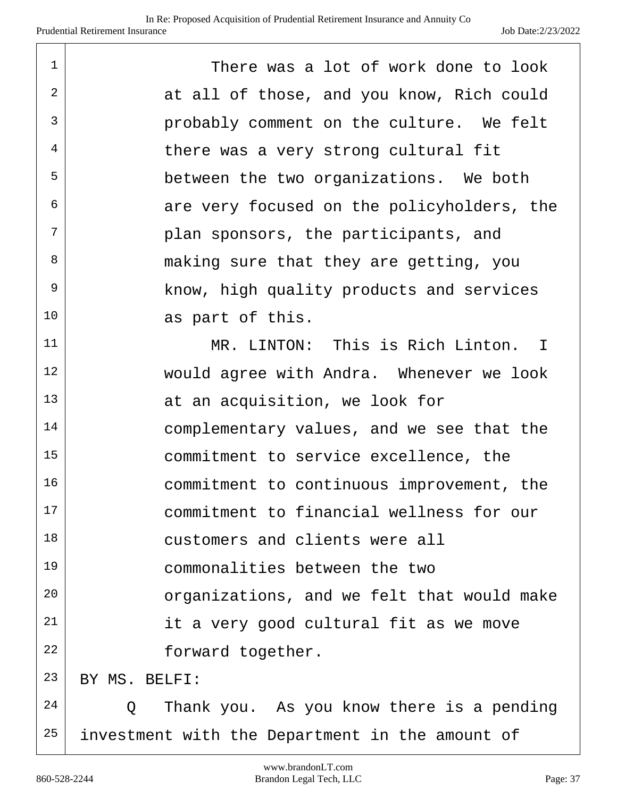| 1  | There was a lot of work done to look            |
|----|-------------------------------------------------|
| 2  | at all of those, and you know, Rich could       |
| 3  | probably comment on the culture. We felt        |
| 4  | there was a very strong cultural fit            |
| 5  | between the two organizations. We both          |
| 6  | are very focused on the policyholders, the      |
| 7  | plan sponsors, the participants, and            |
| 8  | making sure that they are getting, you          |
| 9  | know, high quality products and services        |
| 10 | as part of this.                                |
| 11 | MR. LINTON: This is Rich Linton. I              |
| 12 | would agree with Andra. Whenever we look        |
| 13 | at an acquisition, we look for                  |
| 14 | complementary values, and we see that the       |
| 15 | commitment to service excellence, the           |
| 16 | commitment to continuous improvement, the       |
| 17 | commitment to financial wellness for our        |
| 18 | customers and clients were all                  |
| 19 | commonalities between the two                   |
| 20 | organizations, and we felt that would make      |
| 21 | it a very good cultural fit as we move          |
| 22 | forward together.                               |
| 23 | BY MS. BELFI:                                   |
| 24 | Thank you. As you know there is a pending<br>Q  |
| 25 | investment with the Department in the amount of |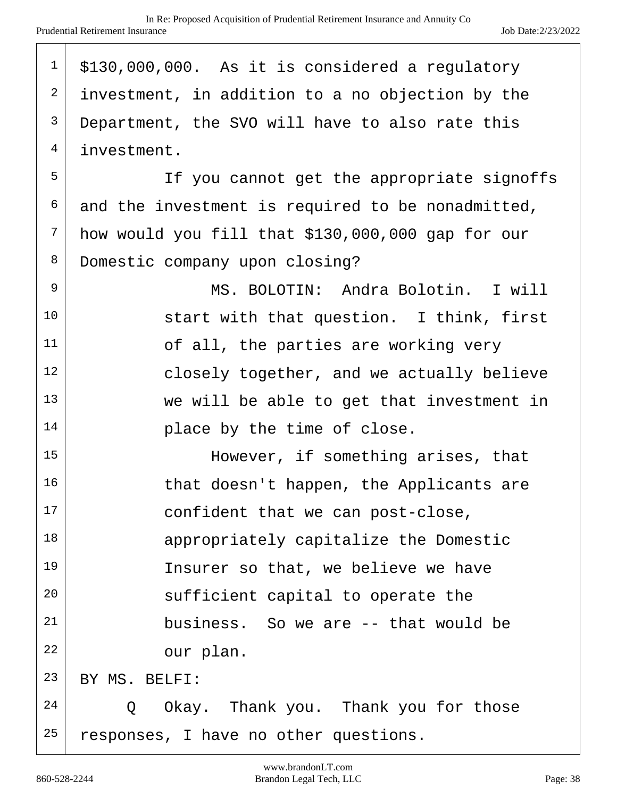| $\mathbf 1$    | \$130,000,000. As it is considered a regulatory   |
|----------------|---------------------------------------------------|
| 2              | investment, in addition to a no objection by the  |
| $\mathfrak{Z}$ | Department, the SVO will have to also rate this   |
| $\overline{4}$ | investment.                                       |
| 5              | If you cannot get the appropriate signoffs        |
| 6              | and the investment is required to be nonadmitted, |
| 7              | how would you fill that \$130,000,000 gap for our |
| 8              | Domestic company upon closing?                    |
| 9              | MS. BOLOTIN: Andra Bolotin. I will                |
| 10             | start with that question. I think, first          |
| 11             | of all, the parties are working very              |
| 12             | closely together, and we actually believe         |
| 13             | we will be able to get that investment in         |
| 14             | place by the time of close.                       |
| 15             | However, if something arises, that                |
| 16             | that doesn't happen, the Applicants are           |
| 17             | confident that we can post-close,                 |
| 18             | appropriately capitalize the Domestic             |
| 19             | Insurer so that, we believe we have               |
| 20             | sufficient capital to operate the                 |
| 21             | business. So we are -- that would be              |
| 22             | our plan.                                         |
| 23             | BY MS. BELFI:                                     |
| 24             | Okay. Thank you. Thank you for those<br>Q         |
| 25             | responses, I have no other questions.             |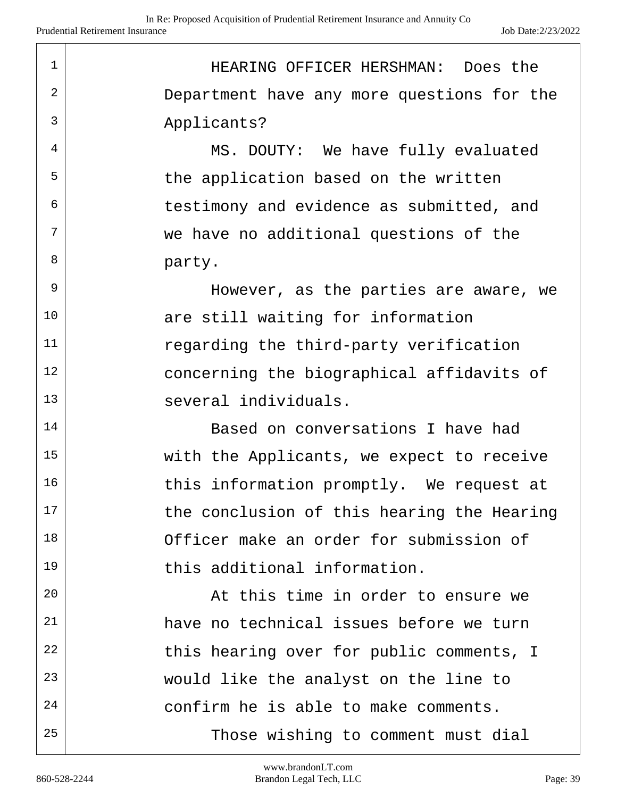1 HEARING OFFICER HERSHMAN: Does the 2 Department have any more questions for the 3 Applicants? <sup>4</sup> MS. DOUTY: We have fully evaluated  $5$  the application based on the written  $6$  testimony and evidence as submitted, and  $7$  we have no additional questions of the 8 party.  $9$  However, as the parties are aware, we 10 are still waiting for information 11 regarding the third-party verification  $12$  concerning the biographical affidavits of 13 several individuals. 14 Based on conversations I have had 15 | With the Applicants, we expect to receive  $16$  this information promptly. We request at  $17$  the conclusion of this hearing the Hearing 18 Officer make an order for submission of 19 this additional information. 20 | The solution of this time in order to ensure we 21 have no technical issues before we turn  $22$  this hearing over for public comments, I 23 would like the analyst on the line to  $24$  confirm he is able to make comments. 25 | Those wishing to comment must dial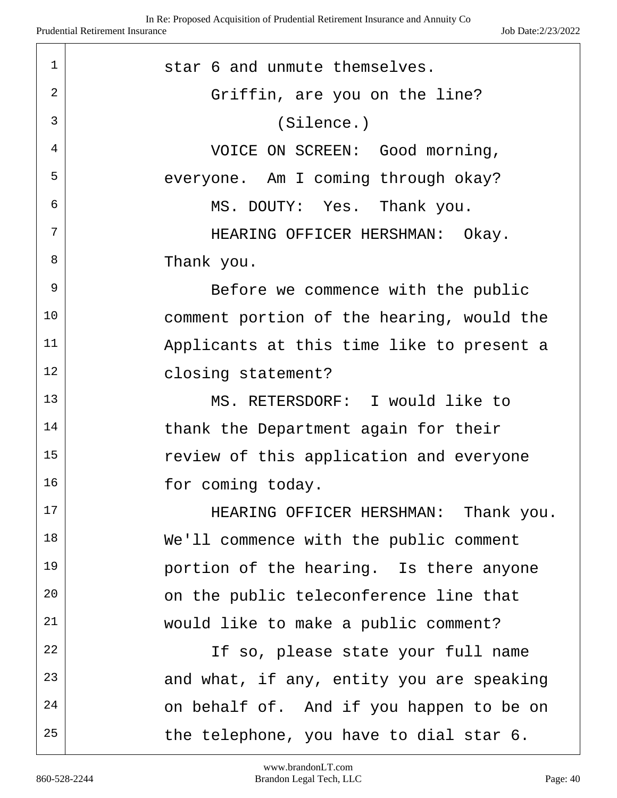| $\mathbf 1$ | star 6 and unmute themselves.             |
|-------------|-------------------------------------------|
| 2           | Griffin, are you on the line?             |
| 3           | (Silence.)                                |
| 4           | VOICE ON SCREEN: Good morning,            |
| 5           | everyone. Am I coming through okay?       |
| 6           | MS. DOUTY: Yes. Thank you.                |
| 7           | HEARING OFFICER HERSHMAN: Okay.           |
| 8           | Thank you.                                |
| 9           | Before we commence with the public        |
| 10          | comment portion of the hearing, would the |
| 11          | Applicants at this time like to present a |
| 12          | closing statement?                        |
| 13          | MS. RETERSDORF: I would like to           |
| 14          | thank the Department again for their      |
| 15          | review of this application and everyone   |
| 16          | for coming today.                         |
| $17$        | HEARING OFFICER HERSHMAN: Thank you.      |
| 18          | We'll commence with the public comment    |
| 19          | portion of the hearing. Is there anyone   |
| 20          | on the public teleconference line that    |
| 21          | would like to make a public comment?      |
| 22          | If so, please state your full name        |
| 23          | and what, if any, entity you are speaking |
| 24          | on behalf of. And if you happen to be on  |
| 25          | the telephone, you have to dial star 6.   |

 $\lceil$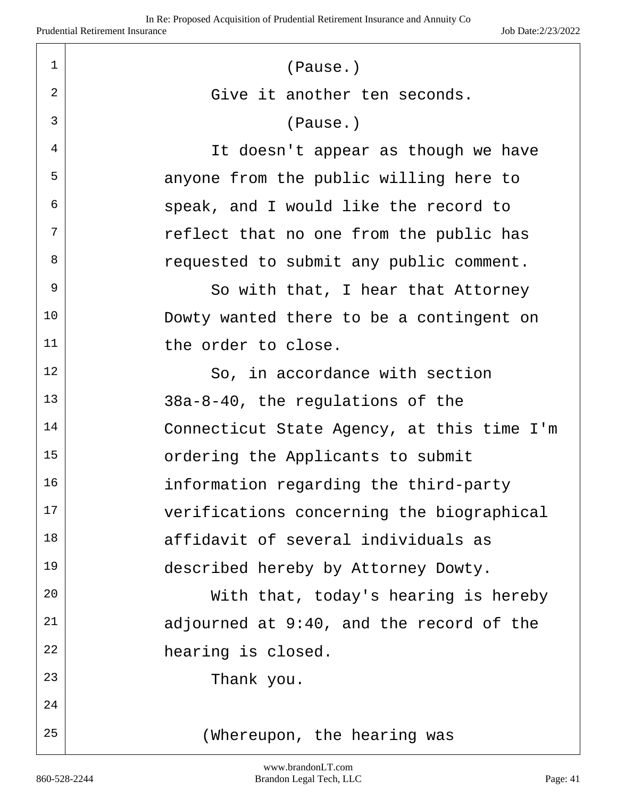| $\mathbf 1$    | (Pause.)                                   |
|----------------|--------------------------------------------|
| $\overline{2}$ | Give it another ten seconds.               |
| $\overline{3}$ | (Pause.)                                   |
| 4              | It doesn't appear as though we have        |
| 5              | anyone from the public willing here to     |
| 6              | speak, and I would like the record to      |
| 7              | reflect that no one from the public has    |
| 8              | requested to submit any public comment.    |
| $\mathsf 9$    | So with that, I hear that Attorney         |
| 10             | Dowty wanted there to be a contingent on   |
| 11             | the order to close.                        |
| 12             | So, in accordance with section             |
| 13             | 38a-8-40, the regulations of the           |
| 14             | Connecticut State Agency, at this time I'm |
| 15             | ordering the Applicants to submit          |
| 16             | information regarding the third-party      |
| 17             | verifications concerning the biographical  |
| 18             | affidavit of several individuals as        |
| 19             | described hereby by Attorney Dowty.        |
| 20             | With that, today's hearing is hereby       |
| 21             | adjourned at 9:40, and the record of the   |
| 22             | hearing is closed.                         |
| 23             | Thank you.                                 |
| 24             |                                            |
| 25             | (Whereupon, the hearing was                |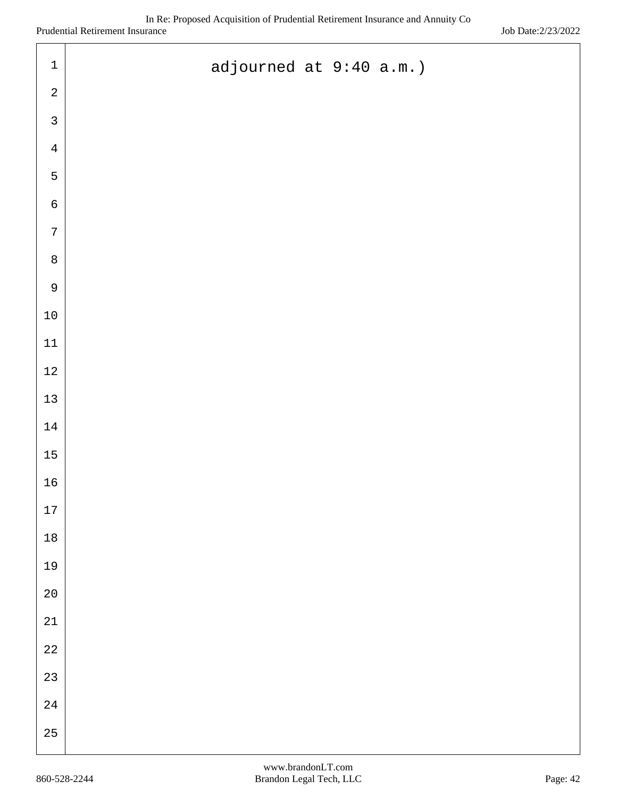